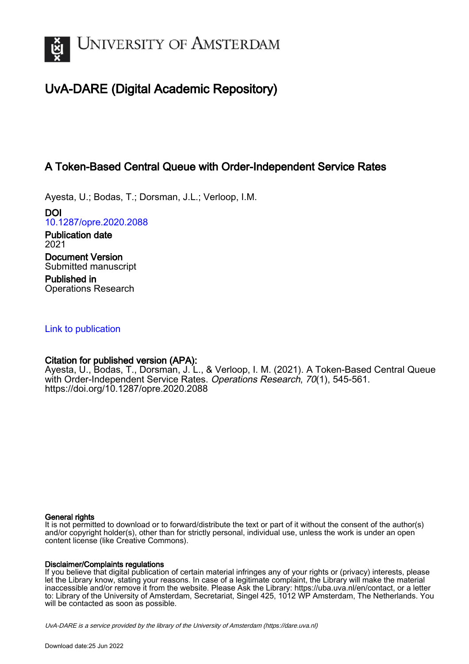

# UvA-DARE (Digital Academic Repository)

## A Token-Based Central Queue with Order-Independent Service Rates

Ayesta, U.; Bodas, T.; Dorsman, J.L.; Verloop, I.M.

DOI [10.1287/opre.2020.2088](https://doi.org/10.1287/opre.2020.2088)

Publication date 2021 Document Version Submitted manuscript

Published in Operations Research

## [Link to publication](https://dare.uva.nl/personal/pure/en/publications/a-tokenbased-central-queue-with-orderindependent-service-rates(aa683645-ab19-4516-b78f-ccea22704d9e).html)

## Citation for published version (APA):

Ayesta, U., Bodas, T., Dorsman, J. L., & Verloop, I. M. (2021). A Token-Based Central Queue with Order-Independent Service Rates. Operations Research, 70(1), 545-561. <https://doi.org/10.1287/opre.2020.2088>

#### General rights

It is not permitted to download or to forward/distribute the text or part of it without the consent of the author(s) and/or copyright holder(s), other than for strictly personal, individual use, unless the work is under an open content license (like Creative Commons).

#### Disclaimer/Complaints regulations

If you believe that digital publication of certain material infringes any of your rights or (privacy) interests, please let the Library know, stating your reasons. In case of a legitimate complaint, the Library will make the material inaccessible and/or remove it from the website. Please Ask the Library: https://uba.uva.nl/en/contact, or a letter to: Library of the University of Amsterdam, Secretariat, Singel 425, 1012 WP Amsterdam, The Netherlands. You will be contacted as soon as possible.

UvA-DARE is a service provided by the library of the University of Amsterdam (http*s*://dare.uva.nl)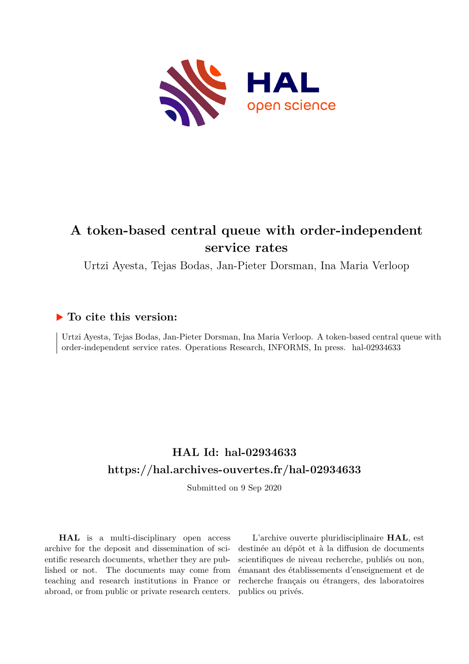

# **A token-based central queue with order-independent service rates**

Urtzi Ayesta, Tejas Bodas, Jan-Pieter Dorsman, Ina Maria Verloop

## **To cite this version:**

Urtzi Ayesta, Tejas Bodas, Jan-Pieter Dorsman, Ina Maria Verloop. A token-based central queue with order-independent service rates. Operations Research, INFORMS, In press. hal-02934633

# **HAL Id: hal-02934633 <https://hal.archives-ouvertes.fr/hal-02934633>**

Submitted on 9 Sep 2020

**HAL** is a multi-disciplinary open access archive for the deposit and dissemination of scientific research documents, whether they are published or not. The documents may come from teaching and research institutions in France or abroad, or from public or private research centers.

L'archive ouverte pluridisciplinaire **HAL**, est destinée au dépôt et à la diffusion de documents scientifiques de niveau recherche, publiés ou non, émanant des établissements d'enseignement et de recherche français ou étrangers, des laboratoires publics ou privés.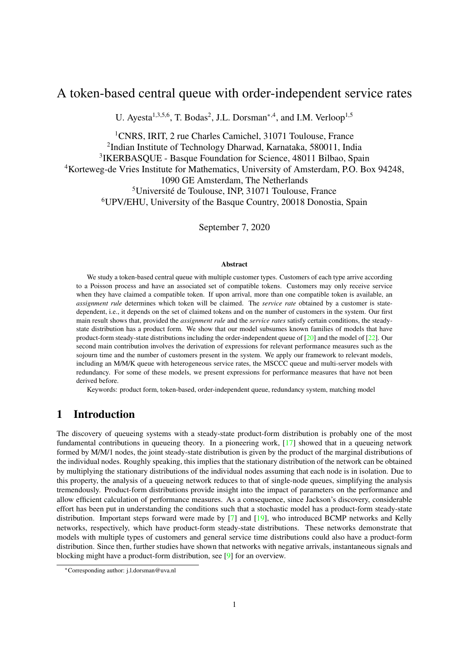## A token-based central queue with order-independent service rates

U. Ayesta<sup>1,3,5,6</sup>, T. Bodas<sup>2</sup>, J.L. Dorsman<sup>\*,4</sup>, and I.M. Verloop<sup>1,5</sup>

<sup>1</sup>CNRS, IRIT, 2 rue Charles Camichel, 31071 Toulouse, France 2 Indian Institute of Technology Dharwad, Karnataka, 580011, India 3 IKERBASQUE - Basque Foundation for Science, 48011 Bilbao, Spain <sup>4</sup>Korteweg-de Vries Institute for Mathematics, University of Amsterdam, P.O. Box 94248, 1090 GE Amsterdam, The Netherlands <sup>5</sup>Université de Toulouse, INP, 31071 Toulouse, France <sup>6</sup>UPV/EHU, University of the Basque Country, 20018 Donostia, Spain

September 7, 2020

#### **Abstract**

We study a token-based central queue with multiple customer types. Customers of each type arrive according to a Poisson process and have an associated set of compatible tokens. Customers may only receive service when they have claimed a compatible token. If upon arrival, more than one compatible token is available, an *assignment rule* determines which token will be claimed. The *service rate* obtained by a customer is statedependent, i.e., it depends on the set of claimed tokens and on the number of customers in the system. Our first main result shows that, provided the *assignment rule* and the *service rates* satisfy certain conditions, the steadystate distribution has a product form. We show that our model subsumes known families of models that have product-form steady-state distributions including the order-independent queue of [20] and the model of [22]. Our second main contribution involves the derivation of expressions for relevant performance measures such as the sojourn time and the number of customers present in the system. We apply our framework to relevant models, including an M/M/K queue with heterogeneous service rates, the MSCCC queue and multi-server models with redundancy. For some of these models, we present expressions for performance measures that have not been derived before.

Keywords: product form, token-based, order-independent queue, redundancy system, matching model

## 1 Introduction

The discovery of queueing systems with a steady-state product-form distribution is probably one of the most fundamental contributions in queueing theory. In a pioneering work, [17] showed that in a queueing network formed by M/M/1 nodes, the joint steady-state distribution is given by the product of the marginal distributions of the individual nodes. Roughly speaking, this implies that the stationary distribution of the network can be obtained by multiplying the stationary distributions of the individual nodes assuming that each node is in isolation. Due to this property, the analysis of a queueing network reduces to that of single-node queues, simplifying the analysis tremendously. Product-form distributions provide insight into the impact of parameters on the performance and allow efficient calculation of performance measures. As a consequence, since Jackson's discovery, considerable effort has been put in understanding the conditions such that a stochastic model has a product-form steady-state distribution. Important steps forward were made by [7] and [19], who introduced BCMP networks and Kelly networks, respectively, which have product-form steady-state distributions. These networks demonstrate that models with multiple types of customers and general service time distributions could also have a product-form distribution. Since then, further studies have shown that networks with negative arrivals, instantaneous signals and blocking might have a product-form distribution, see [9] for an overview.

<sup>∗</sup>Corresponding author: j.l.dorsman@uva.nl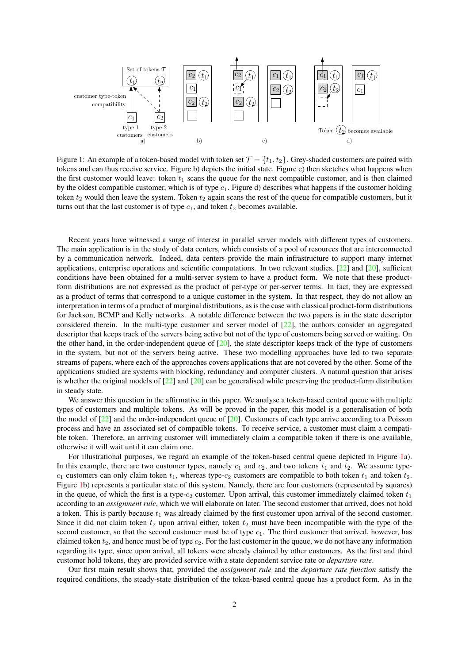

Figure 1: An example of a token-based model with token set  $\mathcal{T} = \{t_1, t_2\}$ . Grey-shaded customers are paired with tokens and can thus receive service. Figure b) depicts the initial state. Figure c) then sketches what happens when the first customer would leave: token  $t_1$  scans the queue for the next compatible customer, and is then claimed by the oldest compatible customer, which is of type  $c_1$ . Figure d) describes what happens if the customer holding token  $t_2$  would then leave the system. Token  $t_2$  again scans the rest of the queue for compatible customers, but it turns out that the last customer is of type  $c_1$ , and token  $t_2$  becomes available.

Recent years have witnessed a surge of interest in parallel server models with different types of customers. The main application is in the study of data centers, which consists of a pool of resources that are interconnected by a communication network. Indeed, data centers provide the main infrastructure to support many internet applications, enterprise operations and scientific computations. In two relevant studies, [22] and [20], sufficient conditions have been obtained for a multi-server system to have a product form. We note that these productform distributions are not expressed as the product of per-type or per-server terms. In fact, they are expressed as a product of terms that correspond to a unique customer in the system. In that respect, they do not allow an interpretation in terms of a product of marginal distributions, as is the case with classical product-form distributions for Jackson, BCMP and Kelly networks. A notable difference between the two papers is in the state descriptor considered therein. In the multi-type customer and server model of [22], the authors consider an aggregated descriptor that keeps track of the servers being active but not of the type of customers being served or waiting. On the other hand, in the order-independent queue of  $[20]$ , the state descriptor keeps track of the type of customers in the system, but not of the servers being active. These two modelling approaches have led to two separate streams of papers, where each of the approaches covers applications that are not covered by the other. Some of the applications studied are systems with blocking, redundancy and computer clusters. A natural question that arises is whether the original models of  $[22]$  and  $[20]$  can be generalised while preserving the product-form distribution in steady state.

We answer this question in the affirmative in this paper. We analyse a token-based central queue with multiple types of customers and multiple tokens. As will be proved in the paper, this model is a generalisation of both the model of [22] and the order-independent queue of [20]. Customers of each type arrive according to a Poisson process and have an associated set of compatible tokens. To receive service, a customer must claim a compatible token. Therefore, an arriving customer will immediately claim a compatible token if there is one available, otherwise it will wait until it can claim one.

For illustrational purposes, we regard an example of the token-based central queue depicted in Figure 1a). In this example, there are two customer types, namely  $c_1$  and  $c_2$ , and two tokens  $t_1$  and  $t_2$ . We assume type $c_1$  customers can only claim token  $t_1$ , whereas type- $c_2$  customers are compatible to both token  $t_1$  and token  $t_2$ . Figure 1b) represents a particular state of this system. Namely, there are four customers (represented by squares) in the queue, of which the first is a type- $c_2$  customer. Upon arrival, this customer immediately claimed token  $t_1$ according to an *assignment rule*, which we will elaborate on later. The second customer that arrived, does not hold a token. This is partly because  $t_1$  was already claimed by the first customer upon arrival of the second customer. Since it did not claim token  $t_2$  upon arrival either, token  $t_2$  must have been incompatible with the type of the second customer, so that the second customer must be of type  $c_1$ . The third customer that arrived, however, has claimed token  $t_2$ , and hence must be of type  $c_2$ . For the last customer in the queue, we do not have any information regarding its type, since upon arrival, all tokens were already claimed by other customers. As the first and third customer hold tokens, they are provided service with a state dependent service rate or *departure rate*.

Our first main result shows that, provided the *assignment rule* and the *departure rate function* satisfy the required conditions, the steady-state distribution of the token-based central queue has a product form. As in the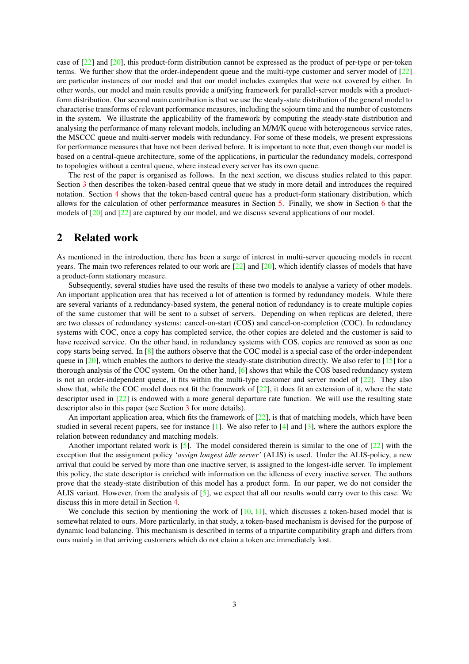case of [22] and [20], this product-form distribution cannot be expressed as the product of per-type or per-token terms. We further show that the order-independent queue and the multi-type customer and server model of [22] are particular instances of our model and that our model includes examples that were not covered by either. In other words, our model and main results provide a unifying framework for parallel-server models with a productform distribution. Our second main contribution is that we use the steady-state distribution of the general model to characterise transforms of relevant performance measures, including the sojourn time and the number of customers in the system. We illustrate the applicability of the framework by computing the steady-state distribution and analysing the performance of many relevant models, including an M/M/K queue with heterogeneous service rates, the MSCCC queue and multi-server models with redundancy. For some of these models, we present expressions for performance measures that have not been derived before. It is important to note that, even though our model is based on a central-queue architecture, some of the applications, in particular the redundancy models, correspond to topologies without a central queue, where instead every server has its own queue.

The rest of the paper is organised as follows. In the next section, we discuss studies related to this paper. Section 3 then describes the token-based central queue that we study in more detail and introduces the required notation. Section 4 shows that the token-based central queue has a product-form stationary distribution, which allows for the calculation of other performance measures in Section 5. Finally, we show in Section 6 that the models of [20] and [22] are captured by our model, and we discuss several applications of our model.

## 2 Related work

As mentioned in the introduction, there has been a surge of interest in multi-server queueing models in recent years. The main two references related to our work are  $[22]$  and  $[20]$ , which identify classes of models that have a product-form stationary measure.

Subsequently, several studies have used the results of these two models to analyse a variety of other models. An important application area that has received a lot of attention is formed by redundancy models. While there are several variants of a redundancy-based system, the general notion of redundancy is to create multiple copies of the same customer that will be sent to a subset of servers. Depending on when replicas are deleted, there are two classes of redundancy systems: cancel-on-start (COS) and cancel-on-completion (COC). In redundancy systems with COC, once a copy has completed service, the other copies are deleted and the customer is said to have received service. On the other hand, in redundancy systems with COS, copies are removed as soon as one copy starts being served. In  $\lceil 8 \rceil$  the authors observe that the COC model is a special case of the order-independent queue in  $[20]$ , which enables the authors to derive the steady-state distribution directly. We also refer to  $[15]$  for a thorough analysis of the COC system. On the other hand, [6] shows that while the COS based redundancy system is not an order-independent queue, it fits within the multi-type customer and server model of [22]. They also show that, while the COC model does not fit the framework of  $[22]$ , it does fit an extension of it, where the state descriptor used in [22] is endowed with a more general departure rate function. We will use the resulting state descriptor also in this paper (see Section 3 for more details).

An important application area, which fits the framework of  $[22]$ , is that of matching models, which have been studied in several recent papers, see for instance [1]. We also refer to [4] and [3], where the authors explore the relation between redundancy and matching models.

Another important related work is  $\lceil 5 \rceil$ . The model considered therein is similar to the one of  $\lceil 22 \rceil$  with the exception that the assignment policy *'assign longest idle server'* (ALIS) is used. Under the ALIS-policy, a new arrival that could be served by more than one inactive server, is assigned to the longest-idle server. To implement this policy, the state descriptor is enriched with information on the idleness of every inactive server. The authors prove that the steady-state distribution of this model has a product form. In our paper, we do not consider the ALIS variant. However, from the analysis of [5], we expect that all our results would carry over to this case. We discuss this in more detail in Section 4.

We conclude this section by mentioning the work of  $[10, 11]$ , which discusses a token-based model that is somewhat related to ours. More particularly, in that study, a token-based mechanism is devised for the purpose of dynamic load balancing. This mechanism is described in terms of a tripartite compatibility graph and differs from ours mainly in that arriving customers which do not claim a token are immediately lost.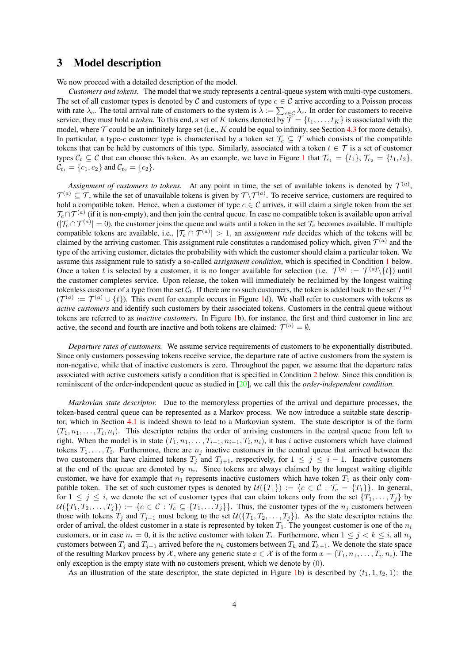### 3 Model description

We now proceed with a detailed description of the model.

*Customers and tokens.* The model that we study represents a central-queue system with multi-type customers. The set of all customer types is denoted by C and customers of type  $c \in \mathcal{C}$  arrive according to a Poisson process with rate  $\lambda_c$ . The total arrival rate of customers to the system is  $\lambda := \sum_{c \in \mathcal{C}} \lambda_c$ . In order for customers to receive service, they must hold a *token*. To this end, a set of K tokens denoted by  $\mathcal{T} = \{t_1, \ldots, t_K\}$  is associated with the model, where  $\mathcal T$  could be an infinitely large set (i.e., K could be equal to infinity, see Section 4.3 for more details). In particular, a type-c customer type is characterised by a token set  $\mathcal{T}_c \subseteq \mathcal{T}$  which consists of the compatible tokens that can be held by customers of this type. Similarly, associated with a token  $t \in \mathcal{T}$  is a set of customer types  $C_t \subseteq C$  that can choose this token. As an example, we have in Figure 1 that  $\mathcal{T}_{c_1} = \{t_1\}, \mathcal{T}_{c_2} = \{t_1, t_2\},\$  $\mathcal{C}_{t_1} = \{c_1, c_2\}$  and  $\mathcal{C}_{t_2} = \{c_2\}.$ 

Assignment of customers to tokens. At any point in time, the set of available tokens is denoted by  $\mathcal{T}^{(a)}$ ,  $\mathcal{T}^{(a)} \subseteq \mathcal{T}$ , while the set of unavailable tokens is given by  $\mathcal{T}\setminus\mathcal{T}^{(a)}$ . To receive service, customers are required to hold a compatible token. Hence, when a customer of type  $c \in \mathcal{C}$  arrives, it will claim a single token from the set  $\mathcal{T}_c\cap\mathcal{T}^{(a)}$  (if it is non-empty), and then join the central queue. In case no compatible token is available upon arrival  $(|\mathcal{T}_c \cap \mathcal{T}^{(a)}| = 0)$ , the customer joins the queue and waits until a token in the set  $\mathcal{T}_c$  becomes available. If multiple compatible tokens are available, i.e.,  $|\mathcal{T}_c \cap \mathcal{T}^{(a)}| > 1$ , an *assignment rule* decides which of the tokens will be claimed by the arriving customer. This assignment rule constitutes a randomised policy which, given  $\mathcal{T}^{(a)}$  and the type of the arriving customer, dictates the probability with which the customer should claim a particular token. We assume this assignment rule to satisfy a so-called *assignment condition*, which is specified in Condition 1 below. Once a token t is selected by a customer, it is no longer available for selection (i.e.  $\mathcal{T}^{(a)} := \mathcal{T}^{(a)} \setminus \{t\}$ ) until the customer completes service. Upon release, the token will immediately be reclaimed by the longest waiting tokenless customer of a type from the set  $\mathcal{C}_t$ . If there are no such customers, the token is added back to the set  $\mathcal{T}^{(a)}$  $(\mathcal{T}^{(a)} := \mathcal{T}^{(a)} \cup \{t\})$ . This event for example occurs in Figure 1d). We shall refer to customers with tokens as *active customers* and identify such customers by their associated tokens. Customers in the central queue without tokens are referred to as *inactive customers*. In Figure 1b), for instance, the first and third customer in line are active, the second and fourth are inactive and both tokens are claimed:  $\mathcal{T}^{(a)} = \emptyset$ .

*Departure rates of customers.* We assume service requirements of customers to be exponentially distributed. Since only customers possessing tokens receive service, the departure rate of active customers from the system is non-negative, while that of inactive customers is zero. Throughout the paper, we assume that the departure rates associated with active customers satisfy a condition that is specified in Condition 2 below. Since this condition is reminiscent of the order-independent queue as studied in [20], we call this the *order-independent condition.*

*Markovian state descriptor.* Due to the memoryless properties of the arrival and departure processes, the token-based central queue can be represented as a Markov process. We now introduce a suitable state descriptor, which in Section 4.1 is indeed shown to lead to a Markovian system. The state descriptor is of the form  $(T_1, n_1, \ldots, T_i, n_i)$ . This descriptor retains the order of arriving customers in the central queue from left to right. When the model is in state  $(T_1, n_1, \ldots, T_{i-1}, n_{i-1}, T_i, n_i)$ , it has i active customers which have claimed tokens  $T_1, \ldots, T_i$ . Furthermore, there are  $n_j$  inactive customers in the central queue that arrived between the two customers that have claimed tokens  $T_j$  and  $T_{j+1}$ , respectively, for  $1 \leq j \leq i-1$ . Inactive customers at the end of the queue are denoted by  $n_i$ . Since tokens are always claimed by the longest waiting eligible customer, we have for example that  $n_1$  represents inactive customers which have token  $T_1$  as their only compatible token. The set of such customer types is denoted by  $\mathcal{U}(\{T_1\}) := \{c \in \mathcal{C} : \mathcal{T}_c = \{T_1\}\}\.$  In general, for  $1 \leq j \leq i$ , we denote the set of customer types that can claim tokens only from the set  $\{T_1, \ldots, T_j\}$  by  $U(\{T_1, T_2, \ldots, T_j\}) := \{c \in C : T_c \subseteq \{T_1, \ldots, T_j\}\}\.$  Thus, the customer types of the  $n_j$  customers between those with tokens  $T_j$  and  $T_{j+1}$  must belong to the set  $\mathcal{U}(\{T_1, T_2, \ldots, T_j\})$ . As the state descriptor retains the order of arrival, the oldest customer in a state is represented by token  $T_1$ . The youngest customer is one of the  $n_i$ customers, or in case  $n_i = 0$ , it is the active customer with token  $T_i$ . Furthermore, when  $1 \leq j \leq k \leq i$ , all  $n_j$ customers between  $T_j$  and  $T_{j+1}$  arrived before the  $n_k$  customers between  $T_k$  and  $T_{k+1}$ . We denote the state space of the resulting Markov process by X, where any generic state  $x \in \mathcal{X}$  is of the form  $x = (T_1, n_1, \dots, T_i, n_i)$ . The only exception is the empty state with no customers present, which we denote by (0).

As an illustration of the state descriptor, the state depicted in Figure 1b) is described by  $(t_1, 1, t_2, 1)$ : the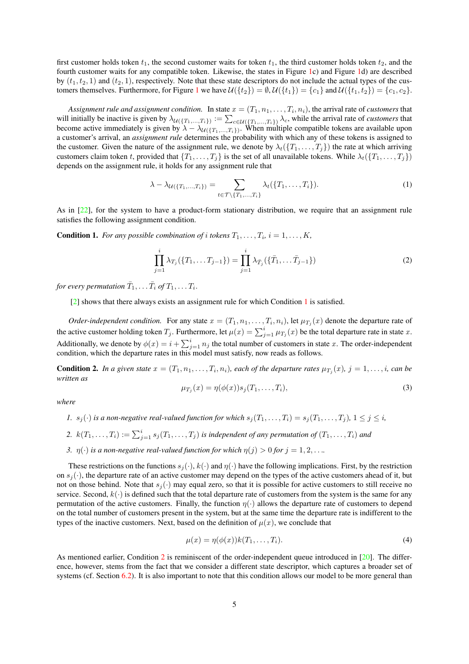first customer holds token  $t_1$ , the second customer waits for token  $t_1$ , the third customer holds token  $t_2$ , and the fourth customer waits for any compatible token. Likewise, the states in Figure 1c) and Figure 1d) are described by  $(t_1, t_2, 1)$  and  $(t_2, 1)$ , respectively. Note that these state descriptors do not include the actual types of the customers themselves. Furthermore, for Figure 1 we have  $\mathcal{U}(\{t_2\}) = \emptyset$ ,  $\mathcal{U}(\{t_1\}) = \{c_1\}$  and  $\mathcal{U}(\{t_1, t_2\}) = \{c_1, c_2\}$ .

Assignment rule and assignment condition. In state  $x=(T_1,n_1,\ldots,T_i,n_i),$  the arrival rate of *customers* that will initially be inactive is given by  $\lambda_{\mathcal{U}(\{T_1,...,T_i\})} := \sum_{c \in \mathcal{U}(\{T_1,...,T_i\})} \lambda_c$ , while the arrival rate of *customers* that become active immediately is given by  $\lambda - \lambda_{\mathcal{U}(\{T_1,...,T_i\})}$ . When multiple compatible tokens are available upon a customer's arrival, an *assignment rule* determines the probability with which any of these tokens is assigned to the customer. Given the nature of the assignment rule, we denote by  $\lambda_t({T_1},\ldots,{T_i})$  the rate at which arriving customers claim token t, provided that  $\{T_1, \ldots, T_j\}$  is the set of all unavailable tokens. While  $\lambda_t(\{T_1, \ldots, T_j\})$ depends on the assignment rule, it holds for any assignment rule that

$$
\lambda - \lambda_{\mathcal{U}(\{T_1, ..., T_i\})} = \sum_{t \in \mathcal{T} \setminus \{T_1, ..., T_i\}} \lambda_t(\{T_1, ..., T_i\}).
$$
\n(1)

As in [22], for the system to have a product-form stationary distribution, we require that an assignment rule satisfies the following assignment condition.

**Condition 1.** For any possible combination of i tokens  $T_1, \ldots, T_i$ ,  $i = 1, \ldots, K$ ,

$$
\prod_{j=1}^{i} \lambda_{T_j}(\{T_1, \dots T_{j-1}\}) = \prod_{j=1}^{i} \lambda_{\bar{T}_j}(\{\bar{T}_1, \dots \bar{T}_{j-1}\})
$$
\n(2)

for every permutation  $\bar{T}_1, \ldots \bar{T}_i$  of  $T_1, \ldots T_i.$ 

[2] shows that there always exists an assignment rule for which Condition 1 is satisfied.

*Order-independent condition.* For any state  $x = (T_1, n_1, \ldots, T_i, n_i)$ , let  $\mu_{T_j}(x)$  denote the departure rate of the active customer holding token  $T_j$ . Furthermore, let  $\mu(x) = \sum_{j=1}^i \mu_{T_j}(x)$  be the total departure rate in state x. Additionally, we denote by  $\phi(x) = i + \sum_{j=1}^{i} n_j$  the total number of customers in state x. The order-independent condition, which the departure rates in this model must satisfy, now reads as follows.

**Condition 2.** In a given state  $x = (T_1, n_1, \ldots, T_i, n_i)$ , each of the departure rates  $\mu_{T_j}(x)$ ,  $j = 1, \ldots, i$ , can be *written as*

$$
\mu_{T_j}(x) = \eta(\phi(x))s_j(T_1,\ldots,T_i),\tag{3}
$$

*where*

- *1.*  $s_j(\cdot)$  *is a non-negative real-valued function for which*  $s_j(T_1, \ldots, T_i) = s_j(T_1, \ldots, T_j)$ ,  $1 \leq j \leq i$ ,
- 2.  $k(T_1, \ldots, T_i) := \sum_{j=1}^i s_j(T_1, \ldots, T_j)$  is independent of any permutation of  $(T_1, \ldots, T_i)$  and
- *3.*  $\eta(\cdot)$  *is a non-negative real-valued function for which*  $\eta(j) > 0$  *for*  $j = 1, 2, \ldots$ *.*

These restrictions on the functions  $s_j(\cdot)$ ,  $k(\cdot)$  and  $\eta(\cdot)$  have the following implications. First, by the restriction on  $s_i(\cdot)$ , the departure rate of an active customer may depend on the types of the active customers ahead of it, but not on those behind. Note that  $s_i(\cdot)$  may equal zero, so that it is possible for active customers to still receive no service. Second,  $k(\cdot)$  is defined such that the total departure rate of customers from the system is the same for any permutation of the active customers. Finally, the function  $\eta(\cdot)$  allows the departure rate of customers to depend on the total number of customers present in the system, but at the same time the departure rate is indifferent to the types of the inactive customers. Next, based on the definition of  $\mu(x)$ , we conclude that

$$
\mu(x) = \eta(\phi(x))k(T_1, \dots, T_i). \tag{4}
$$

As mentioned earlier, Condition 2 is reminiscent of the order-independent queue introduced in  $[20]$ . The difference, however, stems from the fact that we consider a different state descriptor, which captures a broader set of systems (cf. Section 6.2). It is also important to note that this condition allows our model to be more general than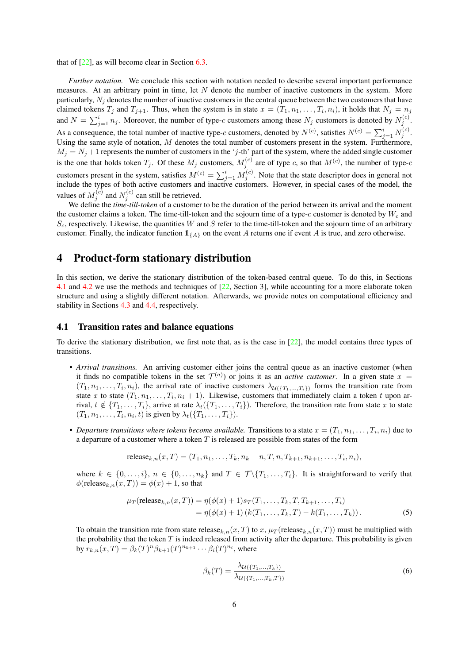that of [22], as will become clear in Section 6.3.

*Further notation.* We conclude this section with notation needed to describe several important performance measures. At an arbitrary point in time, let  $N$  denote the number of inactive customers in the system. More particularly,  $N_i$  denotes the number of inactive customers in the central queue between the two customers that have claimed tokens  $T_j$  and  $T_{j+1}$ . Thus, when the system is in state  $x = (T_1, n_1, \ldots, T_i, n_i)$ , it holds that  $N_j = n_j$ and  $N = \sum_{j=1}^{i} n_j$ . Moreover, the number of type-c customers among these  $N_j$  customers is denoted by  $N_j^{(c)}$ . As a consequence, the total number of inactive type-c customers, denoted by  $N^{(c)}$ , satisfies  $N^{(c)} = \sum_{j=1}^{i} N_j^{(c)}$ . Using the same style of notation,  $M$  denotes the total number of customers present in the system. Furthermore,  $M_j = N_j + 1$  represents the number of customers in the 'j-th' part of the system, where the added single customer is the one that holds token  $T_j$ . Of these  $M_j$  customers,  $M_j^{(c)}$  are of type c, so that  $M^{(c)}$ , the number of type-c customers present in the system, satisfies  $M^{(c)} = \sum_{j=1}^{i} M_j^{(c)}$ . Note that the state descriptor does in general not include the types of both active customers and inactive customers. However, in special cases of the model, the values of  $M_j^{(c)}$  and  $N_j^{(c)}$  can still be retrieved.

We define the *time-till-token* of a customer to be the duration of the period between its arrival and the moment the customer claims a token. The time-till-token and the sojourn time of a type-c customer is denoted by  $W_c$  and  $S_c$ , respectively. Likewise, the quantities W and S refer to the time-till-token and the sojourn time of an arbitrary customer. Finally, the indicator function  $\mathbb{1}_{\{A\}}$  on the event A returns one if event A is true, and zero otherwise.

### 4 Product-form stationary distribution

In this section, we derive the stationary distribution of the token-based central queue. To do this, in Sections 4.1 and 4.2 we use the methods and techniques of [22, Section 3], while accounting for a more elaborate token structure and using a slightly different notation. Afterwards, we provide notes on computational efficiency and stability in Sections 4.3 and 4.4, respectively.

#### 4.1 Transition rates and balance equations

To derive the stationary distribution, we first note that, as is the case in  $[22]$ , the model contains three types of transitions.

- *Arrival transitions.* An arriving customer either joins the central queue as an inactive customer (when it finds no compatible tokens in the set  $\mathcal{T}^{(a)}$  or joins it as an *active customer*. In a given state  $x =$  $(T_1, n_1, \ldots, T_i, n_i)$ , the arrival rate of inactive customers  $\lambda_{\mathcal{U}(\{T_1,\ldots,T_i\})}$  forms the transition rate from state x to state  $(T_1, n_1, \ldots, T_i, n_i + 1)$ . Likewise, customers that immediately claim a token t upon arrival,  $t \notin \{T_1, \ldots, T_i\}$ , arrive at rate  $\lambda_t(\{T_1, \ldots, T_i\})$ . Therefore, the transition rate from state x to state  $(T_1, n_1, \ldots, T_i, n_i, t)$  is given by  $\lambda_t(\lbrace T_1, \ldots, T_i \rbrace)$ .
- *Departure transitions where tokens become available.* Transitions to a state  $x = (T_1, n_1, \ldots, T_i, n_i)$  due to a departure of a customer where a token  $T$  is released are possible from states of the form

release<sub>k,n</sub>
$$
(x,T) = (T_1, n_1, \ldots, T_k, n_k - n, T, n, T_{k+1}, n_{k+1}, \ldots, T_i, n_i),
$$

where  $k \in \{0, \ldots, i\}, n \in \{0, \ldots, n_k\}$  and  $T \in \mathcal{T} \setminus \{T_1, \ldots, T_i\}$ . It is straightforward to verify that  $\phi$ (release<sub>k,n</sub> $(x, T)$ ) =  $\phi(x)$  + 1, so that

$$
\mu_T(\text{release}_{k,n}(x, T)) = \eta(\phi(x) + 1)s_T(T_1, \dots, T_k, T, T_{k+1}, \dots, T_i)
$$
  
=  $\eta(\phi(x) + 1) (k(T_1, \dots, T_k, T) - k(T_1, \dots, T_k)).$  (5)

To obtain the transition rate from state release<sub>k,n</sub>(x,T) to x,  $\mu_T$  (release<sub>k,n</sub>(x,T)) must be multiplied with the probability that the token  $T$  is indeed released from activity after the departure. This probability is given by  $r_{k,n}(x,T) = \beta_k(T)^n \beta_{k+1}(T)^{n_{k+1}} \cdots \beta_i(T)^{n_i}$ , where

$$
\beta_k(T) = \frac{\lambda_{\mathcal{U}(\{T_1, ..., T_k\})}}{\lambda_{\mathcal{U}(\{T_1, ..., T_k, T\})}}
$$
(6)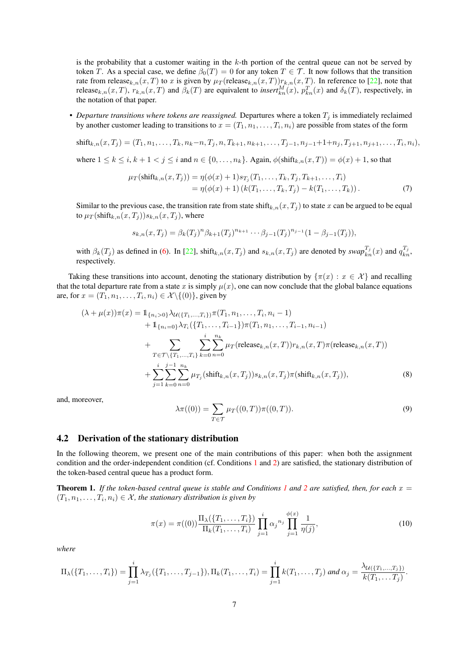is the probability that a customer waiting in the  $k$ -th portion of the central queue can not be served by token T. As a special case, we define  $\beta_0(T) = 0$  for any token  $T \in \mathcal{T}$ . It now follows that the transition rate from release<sub>k,n</sub>(x,T) to x is given by  $\mu_T$  (release<sub>k,n</sub>(x,T)) $r_{k,n}(x, T)$ . In reference to [22], note that release<sub>k,n</sub>(x,T),  $r_{k,n}(x,T)$  and  $\beta_k(T)$  are equivalent to *insert* ${}_{kn}^M(x)$ ,  $p_{kn}^T(x)$  and  $\delta_k(T)$ , respectively, in the notation of that paper.

• *Departure transitions where tokens are reassigned.* Departures where a token  $T_j$  is immediately reclaimed by another customer leading to transitions to  $x = (T_1, n_1, \ldots, T_i, n_i)$  are possible from states of the form

$$
shift_{k,n}(x,T_j)=(T_1,n_1,\ldots,T_k,n_k-n,T_j,n,T_{k+1},n_{k+1},\ldots,T_{j-1},n_{j-1}+1+n_j,T_{j+1},n_{j+1},\ldots,T_i,n_i),
$$

where  $1 \leq k \leq i$ ,  $k + 1 < j \leq i$  and  $n \in \{0, \ldots, n_k\}$ . Again,  $\phi(\text{shift}_{k,n}(x,T)) = \phi(x) + 1$ , so that

$$
\mu_T(\text{shift}_{k,n}(x,T_j)) = \eta(\phi(x) + 1)s_{T_j}(T_1,\ldots,T_k,T_j,T_{k+1},\ldots,T_i) \n= \eta(\phi(x) + 1) (k(T_1,\ldots,T_k,T_j) - k(T_1,\ldots,T_k)).
$$
\n(7)

Similar to the previous case, the transition rate from state shift<sub>k,n</sub>(x,T<sub>j</sub>) to state x can be argued to be equal to  $\mu_T(\text{shift}_{k,n}(x, T_i))s_{k,n}(x, T_i)$ , where

$$
s_{k,n}(x,T_j) = \beta_k(T_j)^n \beta_{k+1}(T_j)^{n_{k+1}} \cdots \beta_{j-1}(T_j)^{n_{j-1}} (1 - \beta_{j-1}(T_j)),
$$

with  $\beta_k(T_j)$  as defined in (6). In [22], shift<sub>k,n</sub>(x, T<sub>j</sub>) and  $s_{k,n}(x,T_j)$  are denoted by  $swap_{kn}^{T_j}(x)$  and  $q_{kn}^{T_j}$ , respectively.

Taking these transitions into account, denoting the stationary distribution by  $\{\pi(x) : x \in \mathcal{X}\}\$ and recalling that the total departure rate from a state x is simply  $\mu(x)$ , one can now conclude that the global balance equations are, for  $x = (T_1, n_1, \ldots, T_i, n_i) \in \mathcal{X} \setminus \{(0)\},$  given by

$$
(\lambda + \mu(x))\pi(x) = \mathbb{1}_{\{n_i > 0\}} \lambda_{\mathcal{U}(\{T_1, \dots, T_i\})} \pi(T_1, n_1, \dots, T_i, n_i - 1)
$$
  
+  $\mathbb{1}_{\{n_i = 0\}} \lambda_{T_i}(\{T_1, \dots, T_{i-1}\}) \pi(T_1, n_1, \dots, T_{i-1}, n_{i-1})$   
+  $\sum_{T \in \mathcal{T} \setminus \{T_1, \dots, T_i\}} \sum_{k=0}^{i} \sum_{n=0}^{n_k} \mu_T(\text{release}_{k,n}(x, T)) r_{k,n}(x, T) \pi(\text{release}_{k,n}(x, T))$   
+  $\sum_{j=1}^{i} \sum_{k=0}^{j-1} \sum_{n=0}^{n_k} \mu_{T_j}(\text{shift}_{k,n}(x, T_j)) s_{k,n}(x, T_j) \pi(\text{shift}_{k,n}(x, T_j)),$  (8)

and, moreover,

$$
\lambda \pi((0)) = \sum_{T \in \mathcal{T}} \mu_T((0, T)) \pi((0, T)).
$$
\n(9)

#### 4.2 Derivation of the stationary distribution

In the following theorem, we present one of the main contributions of this paper: when both the assignment condition and the order-independent condition (cf. Conditions 1 and 2) are satisfied, the stationary distribution of the token-based central queue has a product form.

**Theorem 1.** If the token-based central queue is stable and Conditions 1 and 2 are satisfied, then, for each  $x =$  $(T_1, n_1, \ldots, T_i, n_i) \in \mathcal{X}$ , the stationary distribution is given by

$$
\pi(x) = \pi((0)) \frac{\Pi_{\lambda}(\{T_1, \dots, T_i\})}{\Pi_k(T_1, \dots, T_i)} \prod_{j=1}^i \alpha_j^{n_j} \prod_{j=1}^{\phi(x)} \frac{1}{\eta(j)},
$$
\n(10)

*where*

$$
\Pi_{\lambda}(\{T_1,\ldots,T_i\})=\prod_{j=1}^i \lambda_{T_j}(\{T_1,\ldots,T_{j-1}\}),\Pi_k(T_1,\ldots,T_i)=\prod_{j=1}^i k(T_1,\ldots,T_j) \text{ and } \alpha_j=\frac{\lambda_{\mathcal{U}(\{T_1,\ldots,T_j\})}}{k(T_1,\ldots,T_j)}.
$$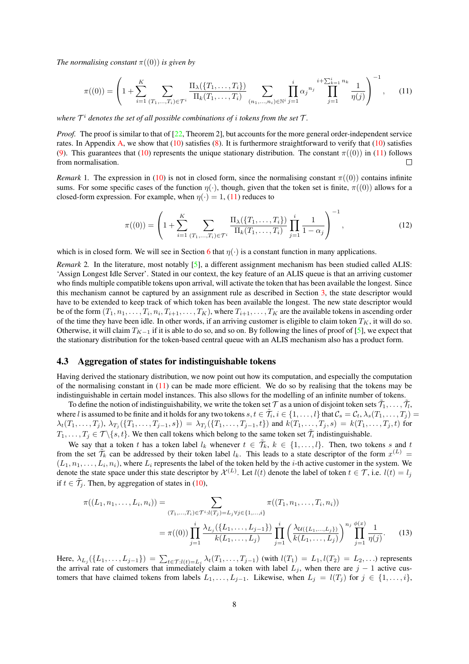*The normalising constant*  $\pi((0))$  *is given by* 

$$
\pi((0)) = \left(1 + \sum_{i=1}^{K} \sum_{(T_1, \ldots, T_i) \in \mathcal{T}^i} \frac{\Pi_{\lambda}(\{T_1, \ldots, T_i\})}{\Pi_k(T_1, \ldots, T_i)} \sum_{(n_1, \ldots, n_i) \in \mathbb{N}^i} \prod_{j=1}^i \alpha_j n_j \prod_{j=1}^{i + \sum_{k=1}^i n_k} \frac{1}{\eta(j)} \right)^{-1}, \quad (11)
$$

where  $\mathcal{T}^i$  denotes the set of all possible combinations of  $i$  tokens from the set  $\mathcal{T}$ .

*Proof.* The proof is similar to that of [22, Theorem 2], but accounts for the more general order-independent service rates. In Appendix A, we show that  $(10)$  satisfies  $(8)$ . It is furthermore straightforward to verify that  $(10)$  satisfies (9). This guarantees that (10) represents the unique stationary distribution. The constant  $\pi((0))$  in (11) follows from normalisation.  $\Box$ 

*Remark* 1. The expression in (10) is not in closed form, since the normalising constant  $\pi((0))$  contains infinite sums. For some specific cases of the function  $\eta(\cdot)$ , though, given that the token set is finite,  $\pi((0))$  allows for a closed-form expression. For example, when  $n(\cdot) = 1$ , (11) reduces to

$$
\pi((0)) = \left(1 + \sum_{i=1}^{K} \sum_{(T_1, \dots, T_i) \in \mathcal{T}^i} \frac{\Pi_{\lambda}(\{T_1, \dots, T_i\})}{\Pi_k(T_1, \dots, T_i)} \prod_{j=1}^i \frac{1}{1 - \alpha_j}\right)^{-1},
$$
\n(12)

which is in closed form. We will see in Section 6 that  $\eta(\cdot)$  is a constant function in many applications.

*Remark* 2. In the literature, most notably [5], a different assignment mechanism has been studied called ALIS: 'Assign Longest Idle Server'. Stated in our context, the key feature of an ALIS queue is that an arriving customer who finds multiple compatible tokens upon arrival, will activate the token that has been available the longest. Since this mechanism cannot be captured by an assignment rule as described in Section 3, the state descriptor would have to be extended to keep track of which token has been available the longest. The new state descriptor would be of the form  $(T_1, n_1, \ldots, T_i, n_i, T_{i+1}, \ldots, T_K)$ , where  $T_{i+1}, \ldots, T_K$  are the available tokens in ascending order of the time they have been idle. In other words, if an arriving customer is eligible to claim token  $T_K$ , it will do so. Otherwise, it will claim  $T_{K-1}$  if it is able to do so, and so on. By following the lines of proof of [5], we expect that the stationary distribution for the token-based central queue with an ALIS mechanism also has a product form.

#### 4.3 Aggregation of states for indistinguishable tokens

Having derived the stationary distribution, we now point out how its computation, and especially the computation of the normalising constant in  $(11)$  can be made more efficient. We do so by realising that the tokens may be indistinguishable in certain model instances. This also sllows for the modelling of an infinite number of tokens.

To define the notion of indistinguishability, we write the token set  $\cal T$  as a union of disjoint token sets  $\tilde T_1,\ldots,\tilde T_l$ where l is assumed to be finite and it holds for any two tokens  $s, t \in \tilde{\mathcal{T}}_i, i \in \{1, \ldots, l\}$  that  $\mathcal{C}_s = \mathcal{C}_t, \lambda_s(T_1, \ldots, T_j) =$  $\lambda_t(T_1,\ldots,T_j)$ ,  $\lambda_{T_j}(\{T_1,\ldots,T_{j-1},s\}) = \lambda_{T_j}(\{T_1,\ldots,T_{j-1},t\})$  and  $k(T_1,\ldots,T_j,s) = k(T_1,\ldots,T_j,t)$  for  $T_1, \ldots, T_j \in \mathcal{T} \setminus \{s, t\}$ . We then call tokens which belong to the same token set  $\tilde{\mathcal{T}}_i$  indistinguishable.

We say that a token t has a token label  $l_k$  whenever  $t \in \tilde{\mathcal{T}}_k$ ,  $k \in \{1, \ldots, l\}$ . Then, two tokens s and t from the set  $\tilde{\mathcal{T}}_k$  can be addressed by their token label  $l_k$ . This leads to a state descriptor of the form  $x^{(L)}$  =  $(L_1, n_1, \ldots, L_i, n_i)$ , where  $L_i$  represents the label of the token held by the *i*-th active customer in the system. We denote the state space under this state descriptor by  $\mathcal{X}^{(L)}$ . Let  $l(t)$  denote the label of token  $t \in \mathcal{T}$ , i.e.  $l(t) = l_j$ if  $t \in \tilde{T}_j$ . Then, by aggregation of states in (10),

$$
\pi((L_1, n_1, \dots, L_i, n_i)) = \sum_{(T_1, \dots, T_i) \in \mathcal{T}^i : l(T_j) = L_j \forall j \in \{1, \dots, i\}} \pi((T_1, n_1, \dots, T_i, n_i))
$$

$$
= \pi((0)) \prod_{j=1}^i \frac{\lambda_{L_j}(\{L_1, \dots, L_{j-1}\})}{k(L_1, \dots, L_j)} \prod_{j=1}^i \left(\frac{\lambda_{\mathcal{U}(\{L_1, \dots, L_j\})}}{k(L_1, \dots, L_j)}\right)^{n_j} \prod_{j=1}^{\phi(x)} \frac{1}{\eta(j)}.
$$
(13)

Here,  $\lambda_{L_j}(\{L_1, ..., L_{j-1}\}) = \sum_{t \in \mathcal{T}: l(t) = L_j} \lambda_t(T_1, ..., T_{j-1})$  (with  $l(T_1) = L_1, l(T_2) = L_2, ...$ ) represents the arrival rate of customers that immediately claim a token with label  $L_j$ , when there are  $j - 1$  active customers that have claimed tokens from labels  $L_1, \ldots, L_{j-1}$ . Likewise, when  $L_j = l(T_j)$  for  $j \in \{1, \ldots, i\}$ ,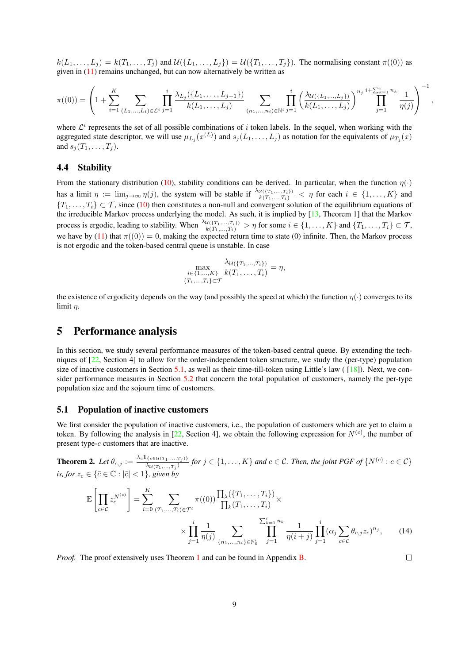$k(L_1, \ldots, L_j) = k(T_1, \ldots, T_j)$  and  $\mathcal{U}(\{L_1, \ldots, L_j\}) = \mathcal{U}(\{T_1, \ldots, T_j\})$ . The normalising constant  $\pi((0))$  as given in (11) remains unchanged, but can now alternatively be written as

$$
\pi((0)) = \left(1 + \sum_{i=1}^{K} \sum_{(L_1, \ldots, L_i) \in \mathcal{L}^i} \prod_{j=1}^i \frac{\lambda_{L_j}(\{L_1, \ldots, L_{j-1}\})}{k(L_1, \ldots, L_j)} \sum_{(n_1, \ldots, n_i) \in \mathbb{N}^i} \prod_{j=1}^i \left(\frac{\lambda_{\mathcal{U}(\{L_1, \ldots, L_j\})}}{k(L_1, \ldots, L_j)}\right)^{n_j} \prod_{j=1}^{i+\sum_{k=1}^i n_k} \frac{1}{\eta(j)}\right)^{-1}
$$

where  $\mathcal{L}^i$  represents the set of all possible combinations of i token labels. In the sequel, when working with the aggregated state descriptor, we will use  $\mu_{L_j}(x^{(L)})$  and  $s_j(L_1,\ldots,L_j)$  as notation for the equivalents of  $\mu_{T_j}(x)$ and  $s_i(T_1, \ldots, T_i)$ .

#### 4.4 Stability

From the stationary distribution (10), stability conditions can be derived. In particular, when the function  $\eta(\cdot)$ has a limit  $\eta := \lim_{j \to \infty} \eta(j)$ , the system will be stable if  $\frac{\lambda_{\mathcal{U}(\{T_1,\ldots,T_i\})}}{k(T_1,\ldots,T_i)} < \eta$  for each  $i \in \{1,\ldots,K\}$  and  $\{T_1,\ldots,T_i\}\subset\mathcal{T}$ , since (10) then constitutes a non-null and convergent solution of the equilibrium equations of the irreducible Markov process underlying the model. As such, it is implied by [13, Theorem 1] that the Markov process is ergodic, leading to stability. When  $\frac{\lambda u((T_1,...,T_i))}{k(T_1,...,T_i)} > \eta$  for some  $i \in \{1,...,K\}$  and  $\{T_1,...,T_i\} \subset \mathcal{T}$ , we have by (11) that  $\pi((0)) = 0$ , making the expected return time to state (0) infinite. Then, the Markov process is not ergodic and the token-based central queue is unstable. In case

$$
\max_{\substack{i \in \{1,\ldots,K\} \\ \{T_1,\ldots,T_i\} \subset \mathcal{T}}} \frac{\lambda_{\mathcal{U}(\{T_1,\ldots,T_i\})}}{k(T_1,\ldots,T_i)} = \eta,
$$

the existence of ergodicity depends on the way (and possibly the speed at which) the function  $\eta(\cdot)$  converges to its limit  $\eta$ .

### 5 Performance analysis

In this section, we study several performance measures of the token-based central queue. By extending the techniques of [22, Section 4] to allow for the order-independent token structure, we study the (per-type) population size of inactive customers in Section 5.1, as well as their time-till-token using Little's law ( $\lceil 18 \rceil$ ). Next, we consider performance measures in Section 5.2 that concern the total population of customers, namely the per-type population size and the sojourn time of customers.

#### 5.1 Population of inactive customers

We first consider the population of inactive customers, i.e., the population of customers which are yet to claim a token. By following the analysis in  $[22,$  Section 4], we obtain the following expression for  $N^{(c)}$ , the number of present type-c customers that are inactive.

**Theorem 2.** Let  $\theta_{c,j} := \frac{\lambda_c 1_{\{c \in \mathcal{U}(T_1,...,T_j)\}}}{\lambda_{\mathcal{U}(T_1,...,T_j)}}$  for  $j \in \{1,...,K\}$  and  $c \in \mathcal{C}$ . Then, the joint PGF of  $\{N^{(c)}: c \in \mathcal{C}\}$ *is, for*  $z_c \in {\bar c} \in {\mathbb C} : |{\bar c}| < 1$ *}, given by* 

$$
\mathbb{E}\left[\prod_{c\in\mathcal{C}}z_c^{N^{(c)}}\right] = \sum_{i=0}^K\sum_{(T_1,\ldots,T_i)\in\mathcal{T}^i}\pi((0))\frac{\prod_{\lambda}(\{T_1,\ldots,T_i\})}{\prod_k(T_1,\ldots,T_i)}\times \frac{\sum_{k=1}^i n_k}{\prod_{i=1}^i n_k}\frac{1}{\eta(i+j)}\prod_{j=1}^i(\alpha_j\sum_{c\in\mathcal{C}}\theta_{c,j}z_c)^{n_j},\qquad(14)
$$

*Proof.* The proof extensively uses Theorem 1 and can be found in Appendix **B**.

 $\Box$ 

,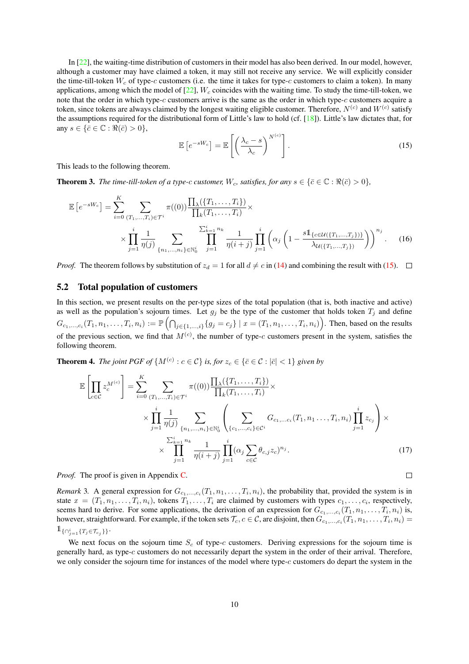In [22], the waiting-time distribution of customers in their model has also been derived. In our model, however, although a customer may have claimed a token, it may still not receive any service. We will explicitly consider the time-till-token  $W_c$  of type-c customers (i.e. the time it takes for type-c customers to claim a token). In many applications, among which the model of  $[22]$ ,  $W_c$  coincides with the waiting time. To study the time-till-token, we note that the order in which type-c customers arrive is the same as the order in which type-c customers acquire a token, since tokens are always claimed by the longest waiting eligible customer. Therefore,  $N^{(c)}$  and  $W^{(c)}$  satisfy the assumptions required for the distributional form of Little's law to hold (cf.  $[18]$ ). Little's law dictates that, for any  $s \in {\overline{c} \in \mathbb{C} : \Re(\overline{c}) > 0},$ 

$$
\mathbb{E}\left[e^{-sW_c}\right] = \mathbb{E}\left[\left(\frac{\lambda_c - s}{\lambda_c}\right)^{N^{(c)}}\right].\tag{15}
$$

This leads to the following theorem.

**Theorem 3.** *The time-till-token of a type-c customer,*  $W_c$ *, satisfies, for any*  $s \in \{\bar{c} \in \mathbb{C} : \Re(\bar{c}) > 0\}$ *,* 

$$
\mathbb{E}\left[e^{-sW_c}\right] = \sum_{i=0}^{K} \sum_{(T_1,\ldots,T_i)\in\mathcal{T}^i} \pi((0)) \frac{\prod_{\lambda}(\{T_1,\ldots,T_i\})}{\prod_{k}(T_1,\ldots,T_i)} \times \frac{\sum_{k=1}^{i} n_k}{\prod_{j=1}^{i} n_j} \sum_{j=1}^{\sum_{k=1}^{i} n_k} \frac{1}{\eta(i+j)} \prod_{j=1}^{i} \left(\alpha_j \left(1 - \frac{s \mathbb{1}_{\{c \in \mathcal{U}(\{T_1,\ldots,T_j\})\}}}{\lambda_{\mathcal{U}(\{T_1,\ldots,T_j\})}}\right)\right)^{n_j}.
$$
 (16)

*Proof.* The theorem follows by substitution of  $z_d = 1$  for all  $d \neq c$  in (14) and combining the result with (15).  $\Box$ 

#### 5.2 Total population of customers

In this section, we present results on the per-type sizes of the total population (that is, both inactive and active) as well as the population's sojourn times. Let  $g_j$  be the type of the customer that holds token  $T_j$  and define  $G_{c_1,...,c_i}(T_1, n_1,..., T_i, n_i) := \mathbb{P} \left( \bigcap_{j \in \{1,...,i\}} \{g_j = c_j\} \mid x = (T_1, n_1,..., T_i, n_i) \right)$ . Then, based on the results of the previous section, we find that  $M^{(c)}$ , the number of type-c customers present in the system, satisfies the following theorem.

**Theorem 4.** *The joint PGF of*  $\{M^{(c)} : c \in C\}$  *is, for*  $z_c \in \{\bar{c} \in C : |\bar{c}| < 1\}$  *given by* 

$$
\mathbb{E}\left[\prod_{c\in\mathcal{C}}z_{c}^{M^{(c)}}\right] = \sum_{i=0}^{K}\sum_{(T_{1},...,T_{i})\in\mathcal{T}^{i}}\pi((0))\frac{\prod_{\lambda}(\{T_{1},...,T_{i}\})}{\prod_{k}(T_{1},...,T_{i})}\times \sum_{\substack{i=1 \ \forall j}}\frac{1}{\eta(j)}\sum_{\{n_{1},...,n_{i}\}\in\mathbb{N}_{0}^{i}}\left(\sum_{\{c_{1},...,c_{i}\}\in\mathcal{C}^{i}}G_{c_{1},...c_{i}}(T_{1},n_{1}...,T_{i},n_{i})\prod_{j=1}^{i}z_{c_{j}}\right)\times \sum_{j=1}^{k_{i}=1}^{k_{i}=n_{k}}\frac{1}{\eta(i+j)}\prod_{j=1}^{i}(\alpha_{j}\sum_{c\in\mathcal{C}}\theta_{c,j}z_{c})^{n_{j}}.
$$
\n(17)

 $\Box$ 

*Proof.* The proof is given in Appendix C.

*Remark* 3. A general expression for  $G_{c_1,...,c_i}(T_1, n_1,...,T_i, n_i)$ , the probability that, provided the system is in state  $x = (T_1, n_1, \ldots, T_i, n_i)$ , tokens  $T_1, \ldots, T_i$  are claimed by customers with types  $c_1, \ldots, c_i$ , respectively, seems hard to derive. For some applications, the derivation of an expression for  $G_{c_1,...,c_i}(T_1, n_1,...,T_i, n_i)$  is, however, straightforward. For example, if the token sets  $\mathcal{T}_c$ ,  $c \in \mathcal{C}$ , are disjoint, then  $G_{c_1,...,c_i}(T_1,n_1,...,T_i,n_i)=$  $1\!\!1_{\{\cap_{j=1}^i\{T_j\in\mathcal{T}_{c_j}\}\}}$ .

We next focus on the sojourn time  $S_c$  of type-c customers. Deriving expressions for the sojourn time is generally hard, as type-c customers do not necessarily depart the system in the order of their arrival. Therefore, we only consider the sojourn time for instances of the model where type-c customers do depart the system in the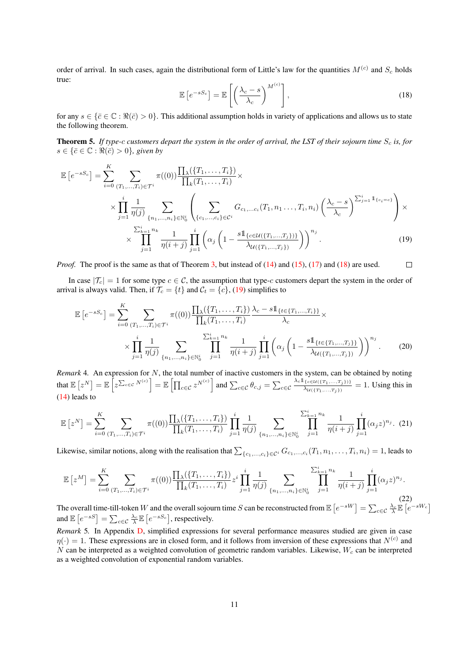order of arrival. In such cases, again the distributional form of Little's law for the quantities  $M^{(c)}$  and  $S_c$  holds true:

$$
\mathbb{E}\left[e^{-sS_c}\right] = \mathbb{E}\left[\left(\frac{\lambda_c - s}{\lambda_c}\right)^{M^{(c)}}\right],\tag{18}
$$

for any  $s \in \{\bar{c} \in \mathbb{C} : \Re(\bar{c}) > 0\}$ . This additional assumption holds in variety of applications and allows us to state the following theorem.

**Theorem 5.** If type-c customers depart the system in the order of arrival, the LST of their sojourn time  $S_c$  is, for  $s \in {\bar{c} \in \mathbb{C} : \Re(\bar{c}) > 0}$ *, given by* 

$$
\mathbb{E}\left[e^{-sS_c}\right] = \sum_{i=0}^{K} \sum_{(T_1,...,T_i) \in \mathcal{T}^i} \pi((0)) \frac{\prod_{\lambda} (\{T_1,...,T_i\})}{\prod_{k} (T_1,...,T_i)} \times \frac{\prod_{\lambda} \left(\prod_{k=1}^{i} (T_1,...,T_i) \right)}{\prod_{j=1}^{i} \eta(j)} \sum_{\{n_1,...,n_i\} \in \mathbb{N}_0^i} \left(\sum_{\{c_1,...,c_i\} \in \mathcal{C}^i} G_{c_1,...c_i} (T_1, n_1..., T_i, n_i) \left(\frac{\lambda_c - s}{\lambda_c}\right)^{\sum_{j=1}^{i} 1_{\{c_i = c\}}}\right) \times \frac{\sum_{k=1}^{i} n_k}{\prod_{j=1}^{i} \eta(i+j)} \prod_{j=1}^{i} \left(\alpha_j \left(1 - \frac{s1_{\{c \in \mathcal{U}(\{T_1,...,T_j\})\}}}{\lambda_{\mathcal{U}(\{T_1,...,T_j\})}}\right)\right)^{n_j}.
$$
\n(19)

*Proof.* The proof is the same as that of Theorem 3, but instead of (14) and (15), (17) and (18) are used.  $\Box$ 

In case  $|\mathcal{T}_c| = 1$  for some type  $c \in \mathcal{C}$ , the assumption that type-c customers depart the system in the order of arrival is always valid. Then, if  $\mathcal{T}_c = \{t\}$  and  $\mathcal{C}_t = \{c\}$ , (19) simplifies to

$$
\mathbb{E}\left[e^{-sS_c}\right] = \sum_{i=0}^{K} \sum_{(T_1,\ldots,T_i)\in\mathcal{T}^i} \pi((0)) \frac{\prod_{\lambda} (\{T_1,\ldots,T_i\})}{\prod_{k} (T_1,\ldots,T_i)} \frac{\lambda_c - s \mathbb{1}_{\{t \in \{T_1,\ldots,T_i\}\}}}{\lambda_c} \times \prod_{j=1}^{i} \frac{1}{\eta(j)} \sum_{\{n_1,\ldots,n_i\} \in \mathbb{N}_0^i} \prod_{j=1}^{\sum_{k=1}^i n_k} \frac{1}{\eta(i+j)} \prod_{j=1}^i \left(\alpha_j \left(1 - \frac{s \mathbb{1}_{\{t \in \{T_1,\ldots,T_j\}\}}}{\lambda_{\mathcal{U}(\{T_1,\ldots,T_j\})}}\right)\right)^{n_j}.
$$
\n(20)

*Remark* 4*.* An expression for N, the total number of inactive customers in the system, can be obtained by noting that  $\mathbb{E}\left[z^N\right] = \mathbb{E}\left[z^{\sum_{c \in \mathcal{C}} N^{(c)}}\right] = \mathbb{E}\left[\prod_{c \in \mathcal{C}} z^{N^{(c)}}\right]$  and  $\sum_{c \in \mathcal{C}} \theta_{c,j} = \sum_{c \in \mathcal{C}} \frac{\lambda_c \mathbb{1}_{\{c \in \mathcal{U}(\{T_1, \ldots, T_j\})\}}}{\lambda_{\mathcal{U}(\{T_1, \ldots, T_j\})}}}\right]$  $\frac{\lambda_{U(\{T_1,...,T_j\})}}{\lambda_{U(\{T_1,...,T_j\})}} = 1$ . Using this in (14) leads to

$$
\mathbb{E}\left[z^{N}\right] = \sum_{i=0}^{K} \sum_{(T_{1},...,T_{i}) \in \mathcal{T}^{i}} \pi((0)) \frac{\prod_{\lambda}(\{T_{1},...,T_{i}\})}{\prod_{k}(T_{1},...,T_{i})} \prod_{j=1}^{i} \frac{1}{\eta(j)} \sum_{\{n_{1},...,n_{i}\} \in \mathbb{N}_{0}^{i}} \prod_{j=1}^{\sum_{k=1}^{i} n_{k}} \frac{1}{\eta(i+j)} \prod_{j=1}^{i} (\alpha_{j} z)^{n_{j}}.
$$
 (21)

Likewise, similar notions, along with the realisation that  $\sum_{\{c_1,...,c_i\}\in\mathcal{C}^i}G_{c_1,...,c_i}(T_1,n_1,\ldots,T_i,n_i)=1,$  leads to

$$
\mathbb{E}\left[z^{M}\right] = \sum_{i=0}^{K} \sum_{(T_{1},...,T_{i}) \in \mathcal{T}^{i}} \pi((0)) \frac{\prod_{\lambda}(\{T_{1},...,T_{i}\})}{\prod_{k}(T_{1},...,T_{i})} z^{i} \prod_{j=1}^{i} \frac{1}{\eta(j)} \sum_{\{n_{1},...,n_{i}\} \in \mathbb{N}_{0}^{i}} \frac{\sum_{k=1}^{i} n_{k}}{j!} \frac{1}{\eta(i+j)} \prod_{j=1}^{i} (\alpha_{j} z)^{n_{j}}.
$$
\n(22)

The overall time-till-token W and the overall sojourn time S can be reconstructed from  $\mathbb{E}\left[e^{-sW}\right] = \sum_{c \in \mathcal{C}} \frac{\lambda_c}{\lambda} \mathbb{E}\left[e^{-sW_c}\right]$ and  $\mathbb{E}\left[e^{-sS}\right] = \sum_{c \in \mathcal{C}} \frac{\lambda_c}{\lambda} \mathbb{E}\left[e^{-sS_c}\right]$ , respectively.

*Remark* 5*.* In Appendix D, simplified expressions for several performance measures studied are given in case  $\eta(\cdot) = 1$ . These expressions are in closed form, and it follows from inversion of these expressions that  $N^{(c)}$  and  $N$  can be interpreted as a weighted convolution of geometric random variables. Likewise,  $W_c$  can be interpreted as a weighted convolution of exponential random variables.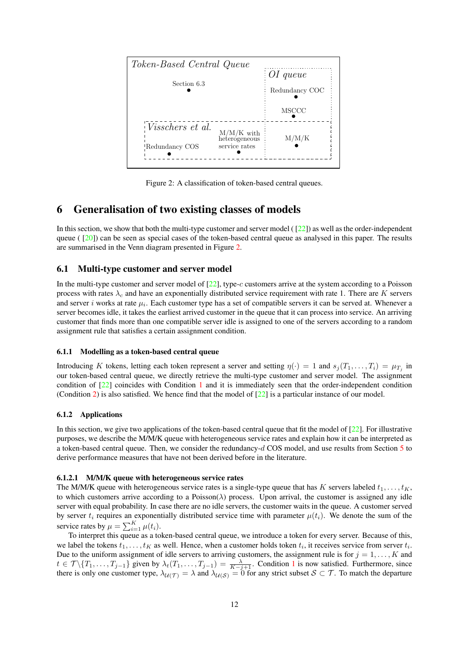

Figure 2: A classification of token-based central queues.

### 6 Generalisation of two existing classes of models

In this section, we show that both the multi-type customer and server model ( $\lceil 22 \rceil$ ) as well as the order-independent queue ( $[20]$ ) can be seen as special cases of the token-based central queue as analysed in this paper. The results are summarised in the Venn diagram presented in Figure 2.

#### 6.1 Multi-type customer and server model

In the multi-type customer and server model of [22], type-c customers arrive at the system according to a Poisson process with rates  $\lambda_c$  and have an exponentially distributed service requirement with rate 1. There are K servers and server i works at rate  $\mu_i$ . Each customer type has a set of compatible servers it can be served at. Whenever a server becomes idle, it takes the earliest arrived customer in the queue that it can process into service. An arriving customer that finds more than one compatible server idle is assigned to one of the servers according to a random assignment rule that satisfies a certain assignment condition.

#### 6.1.1 Modelling as a token-based central queue

Introducing K tokens, letting each token represent a server and setting  $\eta(\cdot) = 1$  and  $s_j(T_1, \dots, T_i) = \mu_{T_j}$  in our token-based central queue, we directly retrieve the multi-type customer and server model. The assignment condition of [22] coincides with Condition 1 and it is immediately seen that the order-independent condition (Condition 2) is also satisfied. We hence find that the model of  $[22]$  is a particular instance of our model.

#### 6.1.2 Applications

In this section, we give two applications of the token-based central queue that fit the model of [22]. For illustrative purposes, we describe the M/M/K queue with heterogeneous service rates and explain how it can be interpreted as a token-based central queue. Then, we consider the redundancy-d COS model, and use results from Section 5 to derive performance measures that have not been derived before in the literature.

#### 6.1.2.1 M/M/K queue with heterogeneous service rates

The M/M/K queue with heterogeneous service rates is a single-type queue that has K servers labeled  $t_1, \ldots, t_K$ , to which customers arrive according to a Poisson( $\lambda$ ) process. Upon arrival, the customer is assigned any idle server with equal probability. In case there are no idle servers, the customer waits in the queue. A customer served by server  $t_i$  requires an exponentially distributed service time with parameter  $\mu(t_i)$ . We denote the sum of the service rates by  $\mu = \sum_{i=1}^{K} \mu(t_i)$ .

To interpret this queue as a token-based central queue, we introduce a token for every server. Because of this, we label the tokens  $t_1, \ldots, t_K$  as well. Hence, when a customer holds token  $t_i$ , it receives service from server  $t_i$ . Due to the uniform assignment of idle servers to arriving customers, the assignment rule is for  $j = 1, \ldots, K$  and  $t \in \mathcal{T} \setminus \{T_1, \ldots, T_{j-1}\}$  given by  $\lambda_t(T_1, \ldots, T_{j-1}) = \frac{\lambda}{K-j+1}$ . Condition 1 is now satisfied. Furthermore, since there is only one customer type,  $\lambda_{U(\mathcal{T})} = \lambda$  and  $\lambda_{U(\mathcal{S})} = 0$  for any strict subset  $\mathcal{S} \subset \mathcal{T}$ . To match the departure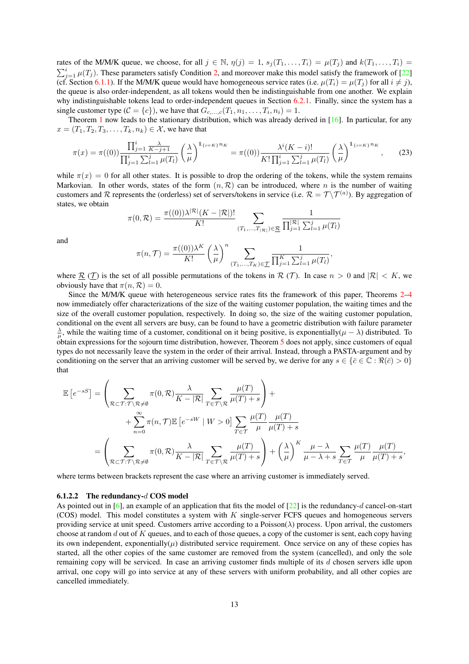rates of the M/M/K queue, we choose, for all  $j \in \mathbb{N}$ ,  $\eta(j) = 1$ ,  $s_j(T_1, \ldots, T_i) = \mu(T_j)$  and  $k(T_1, \ldots, T_i) =$  $\sum_{j=1}^{i} \mu(T_j)$ . These parameters satisfy Condition 2, and moreover make this model satisfy the framework of [22] (cf. Section 6.1.1). If the M/M/K queue would have homogeneous service rates (i.e.  $\mu(T_i) = \mu(T_i)$  for all  $i \neq j$ ), the queue is also order-independent, as all tokens would then be indistinguishable from one another. We explain why indistinguishable tokens lead to order-independent queues in Section 6.2.1. Finally, since the system has a single customer type  $(C = \{c\})$ , we have that  $G_{c,\ldots,c}(T_1, n_1, \ldots, T_i, n_i) = 1$ .

Theorem 1 now leads to the stationary distribution, which was already derived in  $[16]$ . In particular, for any  $x = (T_1, T_2, T_3, \ldots, T_k, n_k) \in \mathcal{X}$ , we have that

$$
\pi(x) = \pi((0)) \frac{\prod_{j=1}^{i} \frac{\lambda}{K-j+1}}{\prod_{j=1}^{i} \sum_{l=1}^{j} \mu(T_l)} \left(\frac{\lambda}{\mu}\right)^{1_{\{i=K\}} n_K} = \pi((0)) \frac{\lambda^{i}(K-i)!}{K! \prod_{j=1}^{i} \sum_{l=1}^{j} \mu(T_l)} \left(\frac{\lambda}{\mu}\right)^{1_{\{i=K\}} n_K},\tag{23}
$$

while  $\pi(x) = 0$  for all other states. It is possible to drop the ordering of the tokens, while the system remains Markovian. In other words, states of the form  $(n, \mathcal{R})$  can be introduced, where n is the number of waiting customers and R represents the (orderless) set of servers/tokens in service (i.e.  $\mathcal{R} = \mathcal{T} \setminus \mathcal{T}^{(a)}$ ). By aggregation of states, we obtain

$$
\pi(0, \mathcal{R}) = \frac{\pi((0))\lambda^{|\mathcal{R}|}(K - |\mathcal{R}|)!}{K!} \sum_{(T_1, ..., T_{|\mathcal{R}|}) \in \underline{\mathcal{R}}} \frac{1}{\prod_{j=1}^{|\mathcal{R}|} \sum_{l=1}^{j} \mu(T_l)}
$$

and

$$
\pi(n,\mathcal{T}) = \frac{\pi((0))\lambda^K}{K!} \left(\frac{\lambda}{\mu}\right)^n \sum_{(T_1,\ldots,T_K)\in\mathcal{I}} \frac{1}{\prod_{j=1}^K \sum_{l=1}^j \mu(T_l)},
$$

where  $\mathcal{R}(\mathcal{T})$  is the set of all possible permutations of the tokens in  $\mathcal{R}(\mathcal{T})$ . In case  $n > 0$  and  $|\mathcal{R}| < K$ , we obviously have that  $\pi(n, \mathcal{R}) = 0$ .

Since the M/M/K queue with heterogeneous service rates fits the framework of this paper, Theorems 2–4 now immediately offer characterizations of the size of the waiting customer population, the waiting times and the size of the overall customer population, respectively. In doing so, the size of the waiting customer population, conditional on the event all servers are busy, can be found to have a geometric distribution with failure parameter  $\frac{\lambda}{\mu}$ , while the waiting time of a customer, conditional on it being positive, is exponentially( $\mu - \lambda$ ) distributed. To obtain expressions for the sojourn time distribution, however, Theorem 5 does not apply, since customers of equal types do not necessarily leave the system in the order of their arrival. Instead, through a PASTA-argument and by conditioning on the server that an arriving customer will be served by, we derive for any  $s \in \{\bar{c} \in \mathbb{C} : \Re(\bar{c}) > 0\}$ that

$$
\mathbb{E}\left[e^{-sS}\right] = \left(\sum_{\mathcal{R}\subset\mathcal{T}: \mathcal{T}\backslash\mathcal{R}\neq\emptyset} \pi(0,\mathcal{R}) \frac{\lambda}{K - |\mathcal{R}|} \sum_{T\in\mathcal{T}\backslash\mathcal{R}} \frac{\mu(T)}{\mu(T) + s}\right) + \n+ \sum_{n=0}^{\infty} \pi(n,\mathcal{T}) \mathbb{E}\left[e^{-sW} \mid W > 0\right] \sum_{T\in\mathcal{T}} \frac{\mu(T)}{\mu} \frac{\mu(T)}{\mu(T) + s} \n= \left(\sum_{\mathcal{R}\subset\mathcal{T}: \mathcal{T}\backslash\mathcal{R}\neq\emptyset} \pi(0,\mathcal{R}) \frac{\lambda}{K - |\mathcal{R}|} \sum_{T\in\mathcal{T}\backslash\mathcal{R}} \frac{\mu(T)}{\mu(T) + s}\right) + \left(\frac{\lambda}{\mu}\right)^K \frac{\mu - \lambda}{\mu - \lambda + s} \sum_{T\in\mathcal{T}} \frac{\mu(T)}{\mu} \frac{\mu(T)}{\mu(T) + s},
$$

where terms between brackets represent the case where an arriving customer is immediately served.

#### 6.1.2.2 The redundancy-d COS model

As pointed out in [6], an example of an application that fits the model of  $[22]$  is the redundancy-d cancel-on-start (COS) model. This model constitutes a system with K single-server FCFS queues and homogeneous servers providing service at unit speed. Customers arrive according to a Poisson( $\lambda$ ) process. Upon arrival, the customers choose at random d out of  $K$  queues, and to each of those queues, a copy of the customer is sent, each copy having its own independent, exponentially( $\mu$ ) distributed service requirement. Once service on any of these copies has started, all the other copies of the same customer are removed from the system (cancelled), and only the sole remaining copy will be serviced. In case an arriving customer finds multiple of its d chosen servers idle upon arrival, one copy will go into service at any of these servers with uniform probability, and all other copies are cancelled immediately.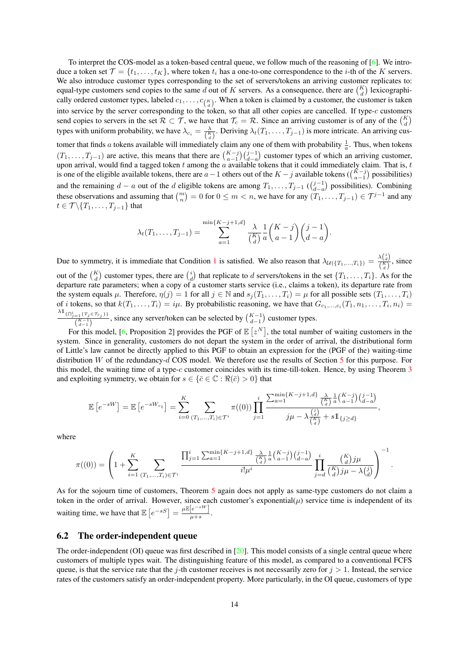To interpret the COS-model as a token-based central queue, we follow much of the reasoning of [6]. We introduce a token set  $\mathcal{T} = \{t_1, \ldots, t_K\}$ , where token  $t_i$  has a one-to-one correspondence to the *i*-th of the *K* servers. We also introduce customer types corresponding to the set of servers/tokens an arriving customer replicates to: equal-type customers send copies to the same d out of K servers. As a consequence, there are  $\binom{K}{d}$  lexicographically ordered customer types, labeled  $c_1, \ldots, c_{K \choose d}$ . When a token is claimed by a customer, the customer is taken into service by the server corresponding to the token, so that all other copies are cancelled. If type- $c$  customers send copies to servers in the set  $\mathcal{R} \subset \mathcal{T}$ , we have that  $\mathcal{T}_c = \mathcal{R}$ . Since an arriving customer is of any of the  $\binom{K}{d}$ types with uniform probability, we have  $\lambda_{c_i} = \frac{\lambda}{\binom{K}{d}}$ . Deriving  $\lambda_t(T_1, \dots, T_{j-1})$  is more intricate. An arriving customer that finds a tokens available will immediately claim any one of them with probability  $\frac{1}{a}$ . Thus, when tokens  $(T_1, \ldots, T_{j-1})$  are active, this means that there are  $\binom{K-j}{a-1}\binom{j-1}{d-a}$  customer types of which an arriving customer, upon arrival, would find a tagged token  $t$  among the  $a$  available tokens that it could immediately claim. That is,  $t$ is one of the eligible available tokens, there are  $a-1$  others out of the  $K-j$  available tokens ( $\binom{K-j}{a-1}$ ) possibilities) and the remaining  $d - a$  out of the d eligible tokens are among  $T_1, \ldots, T_{j-1}$  ( $\binom{j-1}{d-a}$ ) possibilities). Combining these observations and assuming that  $\binom{m}{n} = 0$  for  $0 \le m < n$ , we have for any  $(T_1, \ldots, T_{j-1}) \in \mathcal{T}^{j-1}$  and any  $t \in \mathcal{T} \backslash \{T_1, \ldots, T_{j-1}\}$  that

$$
\lambda_t(T_1,\ldots,T_{j-1}) = \sum_{a=1}^{\min\{K-j+1,d\}} \frac{\lambda}{\binom{K}{d}} \frac{1}{a} \binom{K-j}{a-1} \binom{j-1}{d-a}.
$$

Due to symmetry, it is immediate that Condition 1 is satisfied. We also reason that  $\lambda_{\mathcal{U}(\{T_1,...,T_i\})} = \frac{\lambda \binom{i}{d}}{\binom{K}{d}}$  $\frac{\binom{K}{d}}{\binom{K}{d}}$ , since out of the  $\binom{K}{d}$  customer types, there are  $\binom{i}{d}$  that replicate to d servers/tokens in the set  $\{T_1, \ldots, T_i\}$ . As for the departure rate parameters; when a copy of a customer starts service (i.e., claims a token), its departure rate from the system equals  $\mu$ . Therefore,  $\eta(j) = 1$  for all  $j \in \mathbb{N}$  and  $s_j(T_1, \ldots, T_i) = \mu$  for all possible sets  $(T_1, \ldots, T_i)$ of *i* tokens, so that  $k(T_1, \ldots, T_i) = i\mu$ . By probabilistic reasoning, we have that  $G_{c_1,\ldots,c_i}(T_1, n_1,\ldots,T_i, n_i) =$  $\lambda \mathbb{1}_{\{\bigcap_{j=1}^{i} \{T_j \in \mathcal{T}_{c_j}\}\}}$  $\frac{(-1)^{t} (T_j \in T_{c_j})}{K-1}$ , since any server/token can be selected by  $\binom{K-1}{d-1}$  customer types.

For this model, [6, Proposition 2] provides the PGF of  $\mathbb{E} [z^N]$ , the total number of waiting customers in the system. Since in generality, customers do not depart the system in the order of arrival, the distributional form of Little's law cannot be directly applied to this PGF to obtain an expression for the (PGF of the) waiting-time distribution W of the redundancy- $d$  COS model. We therefore use the results of Section 5 for this purpose. For this model, the waiting time of a type-c customer coincides with its time-till-token. Hence, by using Theorem 3 and exploiting symmetry, we obtain for  $s \in \{\bar{c} \in \mathbb{C} : \Re(\bar{c}) > 0\}$  that

$$
\mathbb{E}\left[e^{-sW}\right] = \mathbb{E}\left[e^{-sW_{c_1}}\right] = \sum_{i=0}^{K} \sum_{(T_1,\ldots,T_i)\in\mathcal{T}^i} \pi((0)) \prod_{j=1}^i \frac{\sum_{a=1}^{\min\{K-j+1,d\}} \frac{\lambda}{\binom{K}{d}} \frac{1}{a} \binom{K-j}{a-1} \binom{j-1}{d-a}}{j\mu - \lambda \frac{\binom{j}{d}}{\binom{K}{d}} + s\mathbb{1}_{\{j\geq d\}},
$$

where

$$
\pi((0)) = \left(1 + \sum_{i=1}^{K} \sum_{(T_1, \ldots, T_i) \in \mathcal{T}^i} \frac{\prod_{j=1}^{i} \sum_{a=1}^{\min\{K-j+1, d\}} \frac{\lambda}{\binom{K}{d}} \frac{1}{a} \binom{K-j}{a-1} \binom{j-1}{d-a}}{i! \mu^i} \prod_{j=d}^{i} \frac{\binom{K}{d} j \mu}{\binom{K}{d} j \mu - \lambda \binom{j}{d}}\right)^{-1}.
$$

As for the sojourn time of customers, Theorem 5 again does not apply as same-type customers do not claim a token in the order of arrival. However, since each customer's exponential( $\mu$ ) service time is independent of its waiting time, we have that  $\mathbb{E}\left[e^{-sS}\right] = \frac{\mu \mathbb{E}\left[e^{-sW}\right]}{\mu+s}$  $\frac{1}{\mu+s}$ .

#### 6.2 The order-independent queue

The order-independent (OI) queue was first described in  $[20]$ . This model consists of a single central queue where customers of multiple types wait. The distinguishing feature of this model, as compared to a conventional FCFS queue, is that the service rate that the j-th customer receives is not necessarily zero for  $j > 1$ . Instead, the service rates of the customers satisfy an order-independent property. More particularly, in the OI queue, customers of type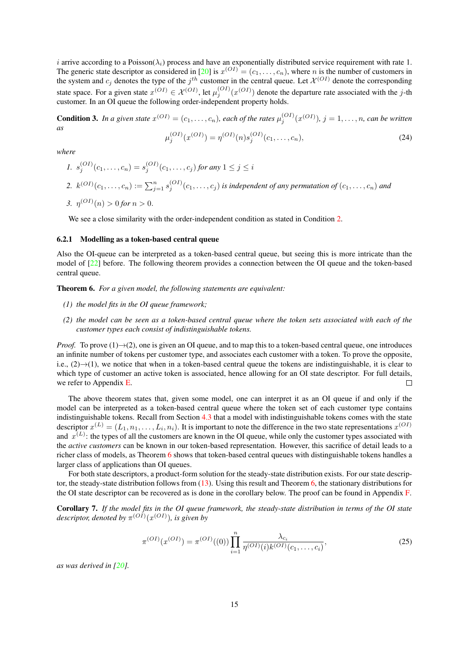i arrive according to a Poisson( $\lambda_i$ ) process and have an exponentially distributed service requirement with rate 1. The generic state descriptor as considered in [20] is  $x^{(OI)} = (c_1, \ldots, c_n)$ , where *n* is the number of customers in the system and  $c_j$  denotes the type of the  $j^{th}$  customer in the central queue. Let  $\mathcal{X}^{(OI)}$  denote the corresponding state space. For a given state  $x^{(OI)} \in \mathcal{X}^{(OI)}$ , let  $\mu_j^{(OI)}(x^{(OI)})$  denote the departure rate associated with the j-th customer. In an OI queue the following order-independent property holds.

**Condition 3.** In a given state  $x^{(OI)} = (c_1, \ldots, c_n)$ , each of the rates  $\mu_j^{(OI)}(x^{(OI)})$ ,  $j = 1, \ldots, n$ , can be written *as*

$$
\mu_j^{(OI)}(x^{(OI)}) = \eta^{(OI)}(n)s_j^{(OI)}(c_1, \dots, c_n),\tag{24}
$$

*where*

*1.*  $s_j^{(OI)}(c_1, \ldots, c_n) = s_j^{(OI)}(c_1, \ldots, c_j)$  *for any*  $1 \le j \le i$ 2.  $k^{(OI)}(c_1, \ldots, c_n) := \sum_{j=1}^n s_j^{(OI)}(c_1, \ldots, c_j)$  is independent of any permutation of  $(c_1, \ldots, c_n)$  and *3.*  $\eta^{(OI)}(n) > 0$  for  $n > 0$ .

We see a close similarity with the order-independent condition as stated in Condition 2.

#### 6.2.1 Modelling as a token-based central queue

Also the OI-queue can be interpreted as a token-based central queue, but seeing this is more intricate than the model of  $[22]$  before. The following theorem provides a connection between the OI queue and the token-based central queue.

Theorem 6. *For a given model, the following statements are equivalent:*

- *(1) the model fits in the OI queue framework;*
- *(2) the model can be seen as a token-based central queue where the token sets associated with each of the customer types each consist of indistinguishable tokens.*

*Proof.* To prove  $(1) \rightarrow (2)$ , one is given an OI queue, and to map this to a token-based central queue, one introduces an infinite number of tokens per customer type, and associates each customer with a token. To prove the opposite, i.e.,  $(2) \rightarrow (1)$ , we notice that when in a token-based central queue the tokens are indistinguishable, it is clear to which type of customer an active token is associated, hence allowing for an OI state descriptor. For full details, we refer to Appendix E.  $\Box$ 

The above theorem states that, given some model, one can interpret it as an OI queue if and only if the model can be interpreted as a token-based central queue where the token set of each customer type contains indistinguishable tokens. Recall from Section 4.3 that a model with indistinguishable tokens comes with the state descriptor  $x^{(L)} = (L_1, n_1, \ldots, L_i, n_i)$ . It is important to note the difference in the two state representations  $x^{(O)}$ and  $x^{(L)}$ : the types of all the customers are known in the OI queue, while only the customer types associated with the *active customers* can be known in our token-based representation. However, this sacrifice of detail leads to a richer class of models, as Theorem 6 shows that token-based central queues with distinguishable tokens handles a larger class of applications than OI queues.

For both state descriptors, a product-form solution for the steady-state distribution exists. For our state descriptor, the steady-state distribution follows from  $(13)$ . Using this result and Theorem 6, the stationary distributions for the OI state descriptor can be recovered as is done in the corollary below. The proof can be found in Appendix F.

Corollary 7. *If the model fits in the OI queue framework, the steady-state distribution in terms of the OI state* descriptor, denoted by  $\pi^{(OI)}(x^{(OI)})$ , is given by

$$
\pi^{(OI)}(x^{(OI)}) = \pi^{(OI)}((0)) \prod_{i=1}^{n} \frac{\lambda_{c_i}}{\eta^{(OI)}(i)k^{(OI)}(c_1, \dots, c_i)},
$$
\n(25)

*as was derived in [20].*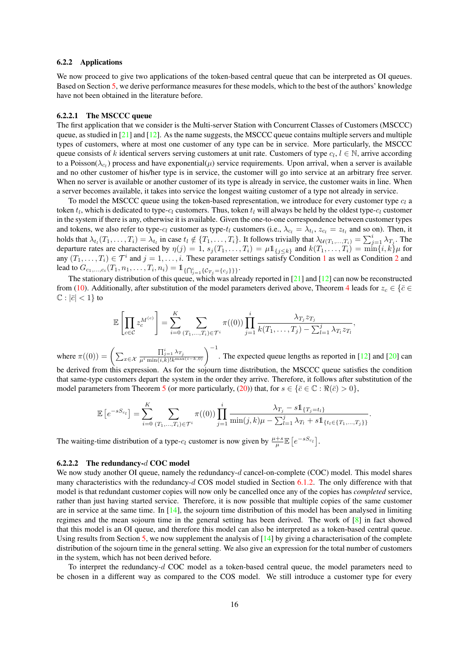#### 6.2.2 Applications

We now proceed to give two applications of the token-based central queue that can be interpreted as OI queues. Based on Section 5, we derive performance measures for these models, which to the best of the authors' knowledge have not been obtained in the literature before.

#### 6.2.2.1 The MSCCC queue

The first application that we consider is the Multi-server Station with Concurrent Classes of Customers (MSCCC) queue, as studied in  $[21]$  and  $[12]$ . As the name suggests, the MSCCC queue contains multiple servers and multiple types of customers, where at most one customer of any type can be in service. More particularly, the MSCCC queue consists of k identical servers serving customers at unit rate. Customers of type  $c_l, l \in \mathbb{N}$ , arrive according to a Poisson( $\lambda_{c_l}$ ) process and have exponential( $\mu$ ) service requirements. Upon arrival, when a server is available and no other customer of his/her type is in service, the customer will go into service at an arbitrary free server. When no server is available or another customer of its type is already in service, the customer waits in line. When a server becomes available, it takes into service the longest waiting customer of a type not already in service.

To model the MSCCC queue using the token-based representation, we introduce for every customer type  $c_l$  a token  $t_l$ , which is dedicated to type- $c_l$  customers. Thus, token  $t_l$  will always be held by the oldest type- $c_l$  customer in the system if there is any, otherwise it is available. Given the one-to-one correspondence between customer types and tokens, we also refer to type- $c_l$  customer as type- $t_l$  customers (i.e.,  $\lambda_{c_l} = \lambda_{t_l}$ ,  $z_{c_l} = z_{t_l}$  and so on). Then, it holds that  $\lambda_{t_i}(T_1,\ldots,T_i) = \lambda_{t_i}$  in case  $t_i \notin \{T_1,\ldots,T_i\}$ . It follows trivially that  $\lambda_{\mathcal{U}(T_1,\ldots,T_i)} = \sum_{j=1}^i \lambda_{T_j}$ . The departure rates are characterised by  $\eta(j) = 1$ ,  $s_j(T_1, \ldots, T_i) = \mu 1_{\{j \leq k\}}$  and  $k(T_1, \ldots, T_i) = \min\{i, k\} \mu$  for any  $(T_1, \ldots, T_i) \in \mathcal{T}^i$  and  $j = 1, \ldots, i$ . These parameter settings satisfy Condition 1 as well as Condition 2 and lead to  $G_{c_1,...,c_i}(T_1,n_1,...,T_i,n_i) = 1\!\!1_{\{\bigcap_{j=1}^i\{\mathcal{C}_{T_j}=\{c_j\}\}\}}.$ 

The stationary distribution of this queue, which was already reported in [21] and [12] can now be reconstructed from (10). Additionally, after substitution of the model parameters derived above, Theorem 4 leads for  $z_c \in {\bar c} \in$  $\mathbb{C}: |\bar{c}| < 1$  to

$$
\mathbb{E}\left[\prod_{c\in\mathcal{C}}z_c^{M^{(c)}}\right] = \sum_{i=0}^K\sum_{(T_1,\ldots,T_i)\in\mathcal{T}^i}\pi((0))\prod_{j=1}^i\frac{\lambda_{T_j}z_{T_j}}{k(T_1,\ldots,T_j)-\sum_{l=1}^j\lambda_{T_l}z_{T_l}},
$$

where  $\pi((0)) = \left(\sum_{x \in \mathcal{X}}\right)$  $\frac{\prod_{j=1}^{i} \lambda_{T_j}}{\mu^i \min(i,k)! k^{\max(i-k,0)}}$  The expected queue lengths as reported in [12] and [20] can be derived from this expression. As for the sojourn time distribution, the MSCCC queue satisfies the condition that same-type customers depart the system in the order they arrive. Therefore, it follows after substitution of the

model parameters from Theorem 5 (or more particularly, (20)) that, for 
$$
s \in \{\bar{c} \in \mathbb{C} : \Re(\bar{c}) > 0\}
$$
,  
\n
$$
\mathbb{E}\left[e^{-sS_{c_l}}\right] = \sum_{i=0}^{K} \sum_{(T_1,...,T_i) \in \mathcal{T}^i} \pi((0)) \prod_{j=1}^{i} \frac{\lambda_{T_j} - s \mathbb{1}_{\{T_j = t_l\}}}{\min(j,k)\mu - \sum_{l=1}^{j} \lambda_{T_l} + s \mathbb{1}_{\{t_l \in \{T_1,...,T_j\}\}}}.
$$

The waiting-time distribution of a type- $c_l$  customer is now given by  $\frac{\mu+s}{\mu} \mathbb{E}\left[e^{-sS_{c_l}}\right]$ .

#### 6.2.2.2 The redundancy-d COC model

We now study another OI queue, namely the redundancy-d cancel-on-complete (COC) model. This model shares many characteristics with the redundancy-d COS model studied in Section 6.1.2. The only difference with that model is that redundant customer copies will now only be cancelled once any of the copies has *completed* service, rather than just having started service. Therefore, it is now possible that multiple copies of the same customer are in service at the same time. In  $[14]$ , the sojourn time distribution of this model has been analysed in limiting regimes and the mean sojourn time in the general setting has been derived. The work of [8] in fact showed that this model is an OI queue, and therefore this model can also be interpreted as a token-based central queue. Using results from Section 5, we now supplement the analysis of  $[14]$  by giving a characterisation of the complete distribution of the sojourn time in the general setting. We also give an expression for the total number of customers in the system, which has not been derived before.

To interpret the redundancy-d COC model as a token-based central queue, the model parameters need to be chosen in a different way as compared to the COS model. We still introduce a customer type for every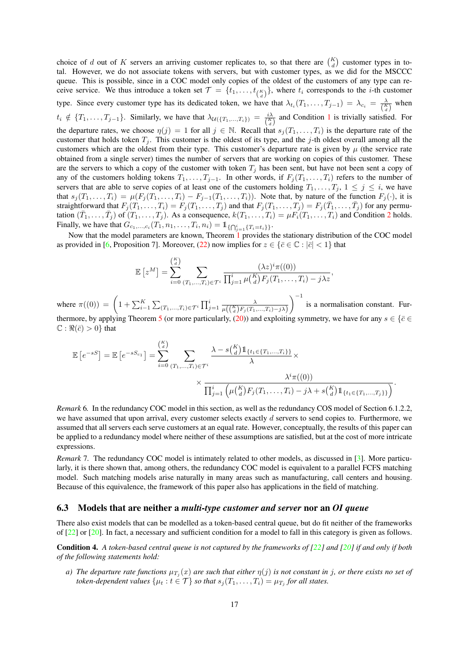choice of d out of K servers an arriving customer replicates to, so that there are  $\binom{K}{d}$  customer types in total. However, we do not associate tokens with servers, but with customer types, as we did for the MSCCC queue. This is possible, since in a COC model only copies of the oldest of the customers of any type can receive service. We thus introduce a token set  $\mathcal{T} = \{t_1, \ldots, t_{\binom{K}{d}}\}$ , where  $t_i$  corresponds to the *i*-th customer type. Since every customer type has its dedicated token, we have that  $\lambda_{t_i}(T_1,\ldots,T_{j-1}) = \lambda_{c_i} = \frac{\lambda}{\binom{K}{d}}$  when  $t_i \notin \{T_1, \ldots, T_{j-1}\}.$  Similarly, we have that  $\lambda_{\mathcal{U}(\{T_1, \ldots, T_i\})} = \frac{i\lambda}{\binom{K}{d}}$  and Condition 1 is trivially satisfied. For the departure rates, we choose  $\eta(j) = 1$  for all  $j \in \mathbb{N}$ . Recall that  $s_j(T_1, \ldots, T_i)$  is the departure rate of the customer that holds token  $T_j$ . This customer is the oldest of its type, and the j-th oldest overall among all the customers which are the oldest from their type. This customer's departure rate is given by  $\mu$  (the service rate obtained from a single server) times the number of servers that are working on copies of this customer. These are the servers to which a copy of the customer with token  $T_i$  has been sent, but have not been sent a copy of any of the customers holding tokens  $T_1, \ldots, T_{j-1}$ . In other words, if  $F_j(T_1, \ldots, T_i)$  refers to the number of servers that are able to serve copies of at least one of the customers holding  $T_1, \ldots, T_j, 1 \leq j \leq i$ , we have that  $s_j(T_1,\ldots,T_i) = \mu(F_j(T_1,\ldots,T_i) - F_{j-1}(T_1,\ldots,T_i))$ . Note that, by nature of the function  $F_j(\cdot)$ , it is straightforward that  $F_j(T_1,\ldots,T_i) = F_j(T_1,\ldots,T_j)$  and that  $F_j(T_1,\ldots,T_j) = F_j(T_1,\ldots,T_j)$  for any permutation  $(\bar{T}_1,\ldots,\bar{T}_j)$  of  $(T_1,\ldots,T_j)$ . As a consequence,  $k(T_1,\ldots,T_i) = \mu F_i(T_1,\ldots,T_i)$  and Condition 2 holds. Finally, we have that  $G_{c_1,...,c_i}(T_1, n_1,..., T_i, n_i) = 1_{\{\bigcap_{j=1}^i \{T_i = t_i\}\}}.$ 

Now that the model parameters are known, Theorem 1 provides the stationary distribution of the COC model as provided in [6, Proposition 7]. Moreover, (22) now implies for  $z \in \{\bar{c} \in \mathbb{C} : |\bar{c}| < 1\}$  that

$$
\mathbb{E}\left[z^M\right] = \sum_{i=0}^{\binom{K}{d}} \sum_{(T_1,\ldots,T_i)\in\mathcal{T}^i} \frac{(\lambda z)^i \pi((0))}{\prod_{j=1}^i \mu\binom{K}{d} F_j(T_1,\ldots,T_i) - j\lambda z},
$$

where  $\pi((0)) = \left(1 + \sum_{i=1}^{K} \sum_{(T_1,...,T_i) \in \mathcal{T}^i} \prod_{j=1}^{i} \frac{\lambda}{\mu((\frac{K}{d})F_j(T_1,...,T_i)-j\lambda)}\right)$  $\int_{0}^{-1}$  is a normalisation constant. Furthermore, by applying Theorem 5 (or more particularly, (20)) and exploiting symmetry, we have for any  $s \in {\overline{\xi}} \in \xi$  $\mathbb{C}: \Re(\bar{c}) > 0$ } that

$$
\mathbb{E}\left[e^{-sS}\right] = \mathbb{E}\left[e^{-sS_{c_1}}\right] = \sum_{i=0}^{K} \sum_{(T_1,...,T_i) \in \mathcal{T}^i} \frac{\lambda - s\binom{K}{d}1_{\{t_1 \in \{T_1,...,T_i\}\}}}{\lambda} \times \frac{\lambda^i \pi((0))}{\lambda^i}
$$

$$
\times \frac{\lambda^i \pi((0))}{\prod_{j=1}^i \left(\mu\binom{K}{d} F_j(T_1,...,T_i) - j\lambda + s\binom{K}{d}1_{\{t_1 \in \{T_1,...,T_j\}\}}\right)}.
$$

*Remark* 6*.* In the redundancy COC model in this section, as well as the redundancy COS model of Section 6.1.2.2, we have assumed that upon arrival, every customer selects exactly  $d$  servers to send copies to. Furthermore, we assumed that all servers each serve customers at an equal rate. However, conceptually, the results of this paper can be applied to a redundancy model where neither of these assumptions are satisfied, but at the cost of more intricate expressions.

*Remark* 7. The redundancy COC model is intimately related to other models, as discussed in [3]. More particularly, it is there shown that, among others, the redundancy COC model is equivalent to a parallel FCFS matching model. Such matching models arise naturally in many areas such as manufacturing, call centers and housing. Because of this equivalence, the framework of this paper also has applications in the field of matching.

#### 6.3 Models that are neither a *multi-type customer and server* nor an *OI queue*

There also exist models that can be modelled as a token-based central queue, but do fit neither of the frameworks of [22] or [20]. In fact, a necessary and sufficient condition for a model to fall in this category is given as follows.

Condition 4. A token-based central queue is not captured by the frameworks of [22] and [20] if and only if both *of the following statements hold:*

*a*) The departure rate functions  $\mu_{T_j}(x)$  are such that either  $\eta(j)$  is not constant in j, or there exists no set of *token-dependent values*  $\{\mu_t : t \in \mathcal{T}\}$  *so that*  $s_j(T_1, \ldots, T_i) = \mu_{T_j}$  *for all states.*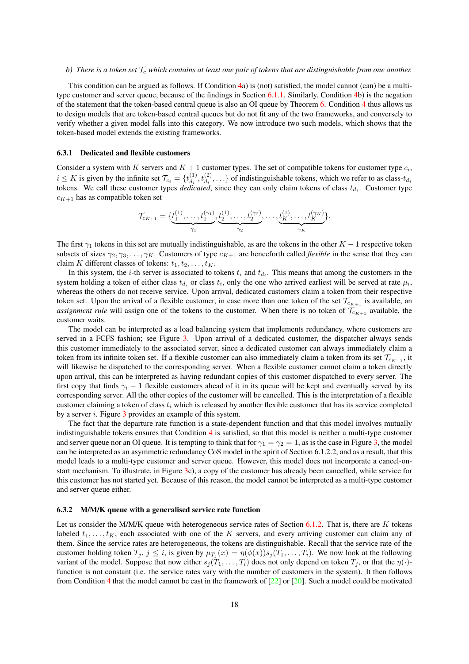#### *b)* There is a token set  $\mathcal{T}_c$  which contains at least one pair of tokens that are distinguishable from one another.

This condition can be argued as follows. If Condition 4a) is (not) satisfied, the model cannot (can) be a multitype customer and server queue, because of the findings in Section 6.1.1. Similarly, Condition 4b) is the negation of the statement that the token-based central queue is also an OI queue by Theorem 6. Condition 4 thus allows us to design models that are token-based central queues but do not fit any of the two frameworks, and conversely to verify whether a given model falls into this category. We now introduce two such models, which shows that the token-based model extends the existing frameworks.

#### 6.3.1 Dedicated and flexible customers

Consider a system with K servers and  $K + 1$  customer types. The set of compatible tokens for customer type  $c_i$ ,  $i \leq K$  is given by the infinite set  $\mathcal{T}_{c_i} = \{t_{d_i}^{(1)}\}$  $\mathcal{A}_{d_i}^{(1)}, t_{d_i}^{(2)}, \ldots$ } of indistinguishable tokens, which we refer to as class- $t_{d_i}$ tokens. We call these customer types *dedicated*, since they can only claim tokens of class  $t_{d_i}$ . Customer type  $c_{K+1}$  has as compatible token set

$$
\mathcal{T}_{c_{K+1}} = \{\underbrace{t_1^{(1)}, \dots, t_1^{(\gamma_1)}}_{\gamma_1}, \underbrace{t_2^{(1)}, \dots, t_2^{(\gamma_2)}}_{\gamma_2}, \dots, \underbrace{t_K^{(1)}, \dots, t_K^{(\gamma_K)}}_{\gamma_K}\}.
$$

The first  $\gamma_1$  tokens in this set are mutually indistinguishable, as are the tokens in the other  $K - 1$  respective token subsets of sizes  $\gamma_2, \gamma_3, \ldots, \gamma_K$ . Customers of type  $c_{K+1}$  are henceforth called *flexible* in the sense that they can claim K different classes of tokens:  $t_1, t_2, \ldots, t_K$ .

In this system, the *i*-th server is associated to tokens  $t_i$  and  $t_{d_i}$ . This means that among the customers in the system holding a token of either class  $t_{d_i}$  or class  $t_i$ , only the one who arrived earliest will be served at rate  $\mu_i$ , whereas the others do not receive service. Upon arrival, dedicated customers claim a token from their respective token set. Upon the arrival of a flexible customer, in case more than one token of the set  $\mathcal{T}_{c_{K+1}}$  is available, an *assignment rule* will assign one of the tokens to the customer. When there is no token of  $\mathcal{T}_{c_{K+1}}$  available, the customer waits.

The model can be interpreted as a load balancing system that implements redundancy, where customers are served in a FCFS fashion; see Figure 3. Upon arrival of a dedicated customer, the dispatcher always sends this customer immediately to the associated server, since a dedicated customer can always immediately claim a token from its infinite token set. If a flexible customer can also immediately claim a token from its set  $\mathcal{T}_{c_{K+1}}$ , it will likewise be dispatched to the corresponding server. When a flexible customer cannot claim a token directly upon arrival, this can be interpreted as having redundant copies of this customer dispatched to every server. The first copy that finds  $\gamma_i$  − 1 flexible customers ahead of it in its queue will be kept and eventually served by its corresponding server. All the other copies of the customer will be cancelled. This is the interpretation of a flexible customer claiming a token of class  $t_i$  which is released by another flexible customer that has its service completed by a server i. Figure 3 provides an example of this system.

The fact that the departure rate function is a state-dependent function and that this model involves mutually indistinguishable tokens ensures that Condition 4 is satisfied, so that this model is neither a multi-type customer and server queue nor an OI queue. It is tempting to think that for  $\gamma_1 = \gamma_2 = 1$ , as is the case in Figure 3, the model can be interpreted as an asymmetric redundancy CoS model in the spirit of Section 6.1.2.2, and as a result, that this model leads to a multi-type customer and server queue. However, this model does not incorporate a cancel-onstart mechanism. To illustrate, in Figure 3c), a copy of the customer has already been cancelled, while service for this customer has not started yet. Because of this reason, the model cannot be interpreted as a multi-type customer and server queue either.

#### 6.3.2 M/M/K queue with a generalised service rate function

Let us consider the M/M/K queue with heterogeneous service rates of Section 6.1.2. That is, there are  $K$  tokens labeled  $t_1, \ldots, t_K$ , each associated with one of the K servers, and every arriving customer can claim any of them. Since the service rates are heterogeneous, the tokens are distinguishable. Recall that the service rate of the customer holding token  $T_j$ ,  $j \le i$ , is given by  $\mu_{T_j}(x) = \eta(\phi(x))s_j(T_1, \dots, T_i)$ . We now look at the following variant of the model. Suppose that now either  $s_j(T_1, \ldots, T_i)$  does not only depend on token  $T_j$ , or that the  $\eta(\cdot)$ function is not constant (i.e. the service rates vary with the number of customers in the system). It then follows from Condition 4 that the model cannot be cast in the framework of [22] or [20]. Such a model could be motivated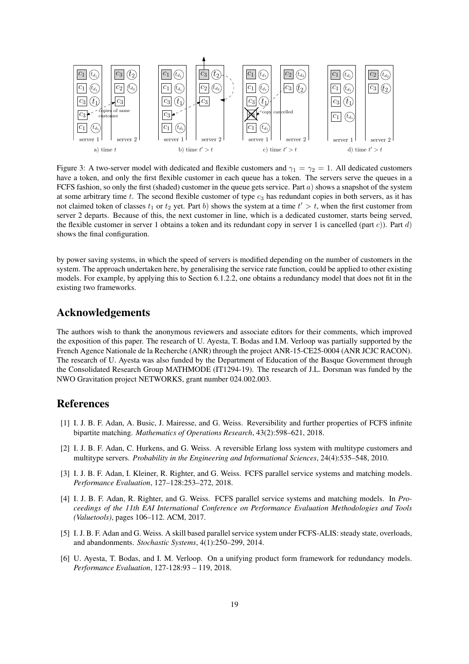

Figure 3: A two-server model with dedicated and flexible customers and  $\gamma_1 = \gamma_2 = 1$ . All dedicated customers have a token, and only the first flexible customer in each queue has a token. The servers serve the queues in a FCFS fashion, so only the first (shaded) customer in the queue gets service. Part  $a$ ) shows a snapshot of the system at some arbitrary time t. The second flexible customer of type  $c_3$  has redundant copies in both servers, as it has not claimed token of classes  $t_1$  or  $t_2$  yet. Part b) shows the system at a time  $t' > t$ , when the first customer from server 2 departs. Because of this, the next customer in line, which is a dedicated customer, starts being served, the flexible customer in server 1 obtains a token and its redundant copy in server 1 is cancelled (part c)). Part d) shows the final configuration.

by power saving systems, in which the speed of servers is modified depending on the number of customers in the system. The approach undertaken here, by generalising the service rate function, could be applied to other existing models. For example, by applying this to Section 6.1.2.2, one obtains a redundancy model that does not fit in the existing two frameworks.

### Acknowledgements

The authors wish to thank the anonymous reviewers and associate editors for their comments, which improved the exposition of this paper. The research of U. Ayesta, T. Bodas and I.M. Verloop was partially supported by the French Agence Nationale de la Recherche (ANR) through the project ANR-15-CE25-0004 (ANR JCJC RACON). The research of U. Ayesta was also funded by the Department of Education of the Basque Government through the Consolidated Research Group MATHMODE (IT1294-19). The research of J.L. Dorsman was funded by the NWO Gravitation project NETWORKS, grant number 024.002.003.

### References

- [1] I. J. B. F. Adan, A. Busic, J. Mairesse, and G. Weiss. Reversibility and further properties of FCFS infinite bipartite matching. *Mathematics of Operations Research*, 43(2):598–621, 2018.
- [2] I. J. B. F. Adan, C. Hurkens, and G. Weiss. A reversible Erlang loss system with multitype customers and multitype servers. *Probability in the Engineering and Informational Sciences*, 24(4):535–548, 2010.
- [3] I. J. B. F. Adan, I. Kleiner, R. Righter, and G. Weiss. FCFS parallel service systems and matching models. *Performance Evaluation*, 127–128:253–272, 2018.
- [4] I. J. B. F. Adan, R. Righter, and G. Weiss. FCFS parallel service systems and matching models. In *Proceedings of the 11th EAI International Conference on Performance Evaluation Methodologies and Tools (Valuetools)*, pages 106–112. ACM, 2017.
- [5] I. J. B. F. Adan and G. Weiss. A skill based parallel service system under FCFS-ALIS: steady state, overloads, and abandonments. *Stochastic Systems*, 4(1):250–299, 2014.
- [6] U. Ayesta, T. Bodas, and I. M. Verloop. On a unifying product form framework for redundancy models. *Performance Evaluation*, 127-128:93 – 119, 2018.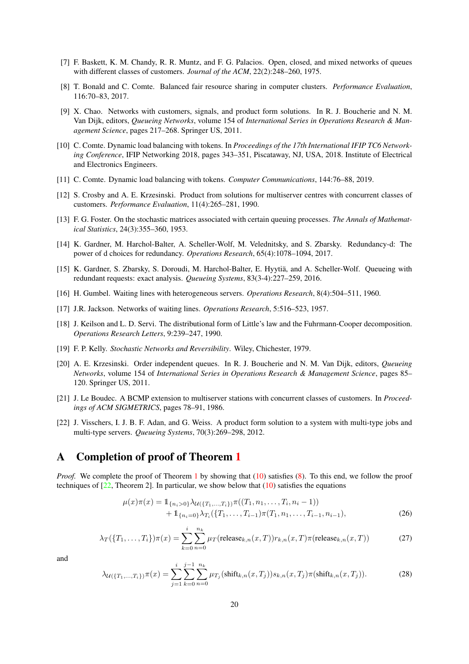- [7] F. Baskett, K. M. Chandy, R. R. Muntz, and F. G. Palacios. Open, closed, and mixed networks of queues with different classes of customers. *Journal of the ACM*, 22(2):248–260, 1975.
- [8] T. Bonald and C. Comte. Balanced fair resource sharing in computer clusters. *Performance Evaluation*, 116:70–83, 2017.
- [9] X. Chao. Networks with customers, signals, and product form solutions. In R. J. Boucherie and N. M. Van Dijk, editors, *Queueing Networks*, volume 154 of *International Series in Operations Research & Management Science*, pages 217–268. Springer US, 2011.
- [10] C. Comte. Dynamic load balancing with tokens. In *Proceedings of the 17th International IFIP TC6 Networking Conference*, IFIP Networking 2018, pages 343–351, Piscataway, NJ, USA, 2018. Institute of Electrical and Electronics Engineers.
- [11] C. Comte. Dynamic load balancing with tokens. *Computer Communications*, 144:76–88, 2019.
- [12] S. Crosby and A. E. Krzesinski. Product from solutions for multiserver centres with concurrent classes of customers. *Performance Evaluation*, 11(4):265–281, 1990.
- [13] F. G. Foster. On the stochastic matrices associated with certain queuing processes. *The Annals of Mathematical Statistics*, 24(3):355–360, 1953.
- [14] K. Gardner, M. Harchol-Balter, A. Scheller-Wolf, M. Velednitsky, and S. Zbarsky. Redundancy-d: The power of d choices for redundancy. *Operations Research*, 65(4):1078–1094, 2017.
- [15] K. Gardner, S. Zbarsky, S. Doroudi, M. Harchol-Balter, E. Hyytia, and A. Scheller-Wolf. Queueing with ¨ redundant requests: exact analysis. *Queueing Systems*, 83(3-4):227–259, 2016.
- [16] H. Gumbel. Waiting lines with heterogeneous servers. *Operations Research*, 8(4):504–511, 1960.
- [17] J.R. Jackson. Networks of waiting lines. *Operations Research*, 5:516–523, 1957.
- [18] J. Keilson and L. D. Servi. The distributional form of Little's law and the Fuhrmann-Cooper decomposition. *Operations Research Letters*, 9:239–247, 1990.
- [19] F. P. Kelly. *Stochastic Networks and Reversibility*. Wiley, Chichester, 1979.
- [20] A. E. Krzesinski. Order independent queues. In R. J. Boucherie and N. M. Van Dijk, editors, *Queueing Networks*, volume 154 of *International Series in Operations Research & Management Science*, pages 85– 120. Springer US, 2011.
- [21] J. Le Boudec. A BCMP extension to multiserver stations with concurrent classes of customers. In *Proceedings of ACM SIGMETRICS*, pages 78–91, 1986.
- [22] J. Visschers, I. J. B. F. Adan, and G. Weiss. A product form solution to a system with multi-type jobs and multi-type servers. *Queueing Systems*, 70(3):269–298, 2012.

## A Completion of proof of Theorem 1

*Proof.* We complete the proof of Theorem 1 by showing that (10) satisfies (8). To this end, we follow the proof techniques of  $[22,$  Theorem 2]. In particular, we show below that  $(10)$  satisfies the equations

$$
\mu(x)\pi(x) = 1_{\{n_i > 0\}} \lambda_{\mathcal{U}(\{T_1, \dots, T_i\})} \pi((T_1, n_1, \dots, T_i, n_i - 1)) + 1_{\{n_i = 0\}} \lambda_{T_i}(\{T_1, \dots, T_{i-1}\}) \pi(T_1, n_1, \dots, T_{i-1}, n_{i-1}),
$$
\n(26)

$$
\lambda_T(\{T_1,\ldots,T_i\})\pi(x) = \sum_{k=0}^i \sum_{n=0}^{n_k} \mu_T(\text{release}_{k,n}(x,T))r_{k,n}(x,T)\pi(\text{release}_{k,n}(x,T))\tag{27}
$$

and

$$
\lambda_{\mathcal{U}(\{T_1,\ldots,T_i\})}\pi(x) = \sum_{j=1}^i \sum_{k=0}^{j-1} \sum_{n=0}^{n_k} \mu_{T_j}(\text{shift}_{k,n}(x,T_j))s_{k,n}(x,T_j)\pi(\text{shift}_{k,n}(x,T_j)).\tag{28}
$$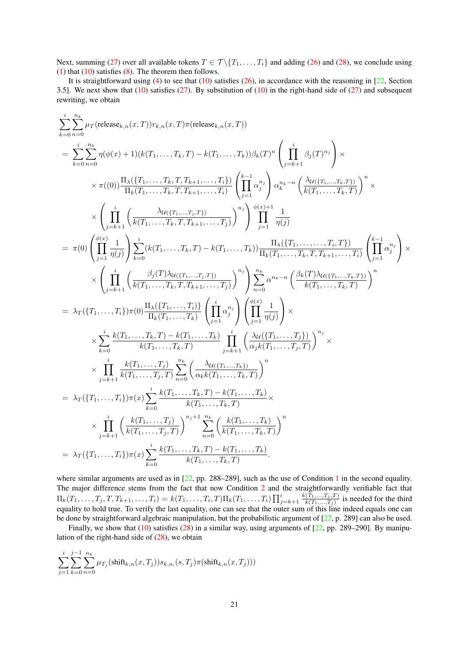Next, summing (27) over all available tokens  $T \in \mathcal{T} \setminus \{T_1, \ldots, T_i\}$  and adding (26) and (28), we conclude using (1) that  $(10)$  satisfies  $(8)$ . The theorem then follows.

It is straightforward using (4) to see that  $(10)$  satisfies  $(26)$ , in accordance with the reasoning in  $[22]$ , Section 3.5]. We next show that  $(10)$  satisfies  $(27)$ . By substitution of  $(10)$  in the right-hand side of  $(27)$  and subsequent rewriting, we obtain

$$
\begin{split} &\sum_{k=0}^{i} \sum_{n=0}^{n_k} \mu_{T}(\text{release}_{k,n}(x,T)) r_{k,n}(x,T) \pi(\text{release}_{k,n}(x,T)) \\ &= \sum_{k=0}^{i} \sum_{n=0}^{n_k} \eta(\phi(x)+1)(k(T_1,\ldots,T_k,T)-k(T_1,\ldots,T_k)) \beta_k(T)^n \left( \prod_{j=k+1}^{i} \beta_j(T)^{n_j} \right) \times \\ &\times \pi((0)) \frac{\Pi_{\lambda}(\{T_1,\ldots,T_k,T,T_{k+1},\ldots,T_i\})}{\Pi_{k}(T_1,\ldots,T_k,T,T_{k+1},\ldots,T_i)} \left( \prod_{j=1}^{k-1} \alpha_j^{n_j} \right) \alpha_k^{n_k-n} \left( \frac{\lambda u(\{T_1,\ldots,T_k,T\})}{k(T_1,\ldots,T_k,T)} \right)^n \times \\ &\times \left( \prod_{j=k+1}^{i} \left( \frac{\lambda u(\{T_1,\ldots,T_k,T\})}{k(T_1,\ldots,T_k,T,T_{k+1},\ldots,T_j)} \right)^n \right) \prod_{j=1}^{i} \frac{1}{\eta(j)} \\ &= \pi(0) \left( \prod_{j=1}^{i} \frac{1}{\eta(j)} \right) \sum_{k=0}^{i} (k(T_1,\ldots,T_k,T)-k(T_1,\ldots,T_k)) \frac{\Pi_{\lambda}(\{T_1,\ldots,\ldots,T_k,T\})}{\Pi_{k}(T_1,\ldots,T_k,T,T_{k+1},\ldots,T_i)} \left( \prod_{j=1}^{k-1} \alpha_j^{n_j} \right) \times \\ &\times \left( \prod_{j=k+1}^{i} \left( \frac{\beta_j(T)\lambda u((T_1,\ldots,T_k,T)-k(T_1,\ldots,T_k))}{k(T_1,\ldots,T_k,T,T_{k+1},\ldots,T_j)} \right)^n \right) \sum_{n=0}^{n_k} \alpha^{n_k-n} \left( \frac{\beta_k(T)\lambda u((T_1,\ldots,T_k,T))}{k(T_1,\ldots,T_k,T)} \right)^n \\ &= \lambda_T(\{T_1,\ldots,T_i\}) \pi(0) \frac{\Pi_{\lambda}(\{T_1,\ldots,T_k\})}{\Pi_{k}(T_1,\ldots,T_k,T)} \prod_{j=k+1}^{i} \left( \frac{\lambda u(\{T_1,\ldots,T_k\})}{\lambda_j(k(T_1,\ldots,T_k
$$

where similar arguments are used as in  $[22, pp. 288–289]$ , such as the use of Condition 1 in the second equality. The major difference stems from the fact that now Condition 2 and the straightforwardly verifiable fact that  $\Pi_k(T_1,\ldots,T_j,T,T_{k+1},\ldots,T_i) = k(T_1,\ldots,T_i,T) \Pi_k(T_1,\ldots,T_i) \prod_{j=k+1}^i \frac{k(T_1,...,T_j,T)}{k(T_1,...,T_j)}$  $\frac{k(T_1,...,T_j)}{k(T_1,...,T_j)}$  is needed for the third equality to hold true. To verify the last equality, one can see that the outer sum of this line indeed equals one can be done by straightforward algebraic manipulation, but the probabilistic argument of [22, p. 289] can also be used.

Finally, we show that  $(10)$  satisfies  $(28)$  in a similar way, using arguments of  $[22, pp. 289–290]$ . By manipulation of the right-hand side of  $(28)$ , we obtain

$$
\sum_{j=1}^{i} \sum_{k=0}^{j-1} \sum_{n=0}^{n_k} \mu_{T_j}(\text{shift}_{k,n}(x, T_j)) s_{k,n}(s, T_j) \pi(\text{shift}_{k,n}(x, T_j)))
$$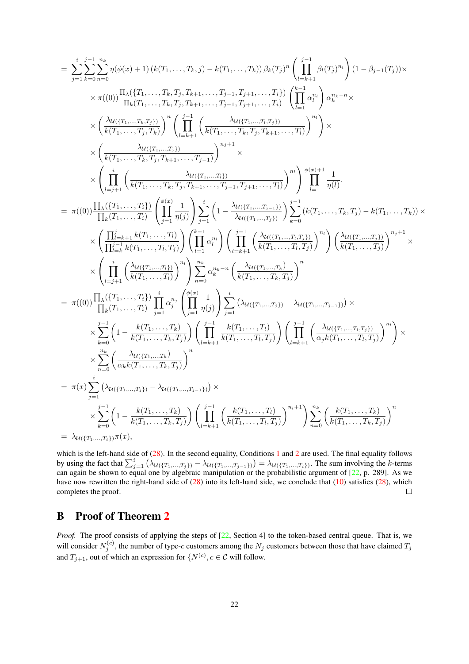$$
\begin{split} & =\sum_{j=1}^{i}\sum_{k=0}^{j-1}\sum_{n=0}^{n_{k}}\eta(\phi(x)+1)\left(k(T_{1},\ldots,T_{k},j)-k(T_{1},\ldots,T_{k})\right)\beta_{k}(T_{j})^{n}\left(\prod_{l=k+1}^{j-1}\beta_{l}(T_{j})^{n_{l}}\right)(1-\beta_{j-1}(T_{j}))\times\\ &\times\pi((0))\frac{\Pi_{\lambda}(\{T_{1},\ldots,T_{k},T_{j},T_{k+1},\ldots,T_{j-1},T_{j+1},\ldots,T_{i}\})}{\Pi_{k}(T_{1},\ldots,T_{k},T_{j},T_{k+1},\ldots,T_{j-1},T_{j+1},\ldots,T_{i})}\left(\prod_{l=1}^{k-1}\alpha_{l}^{n_{l}}\right)\alpha_{k}^{n_{k}-n}\times\\ &\times\left(\frac{\lambda_{\mathcal{U}((T_{1},\ldots,T_{k},T_{j}))}}{k(T_{1},\ldots,T_{j},T_{k})}\right)^{n}\left(\prod_{l=k+1}^{j-1}\left(\frac{\lambda_{\mathcal{U}((T_{1},\ldots,T_{k},T_{j},T_{k+1},\ldots,T_{i})}}{k(T_{1},\ldots,T_{k},T_{j},T_{k+1},\ldots,T_{j-1})}\right)^{n_{j}+1}\times\\ &\times\left(\frac{\lambda_{l}(\{T_{1},\ldots,T_{k}\})}{k(T_{1},\ldots,T_{k},T_{j},T_{k+1},\ldots,T_{j-1})}\right)^{n_{j}+1}\times\\ &\times\left(\prod_{l=j+1}^{j-1}\left(\frac{\lambda_{\mathcal{U}((T_{1},\ldots,T_{l})})}{k(T_{1},\ldots,T_{k},T_{j},T_{k+1},\ldots,T_{j-1},T_{j+1},\ldots,T_{i})}\right)^{n_{j}}\right)\prod_{l=1}^{k-1}\frac{1}{\eta(l)}.\\ &=\pi((0))\frac{\prod_{k}(\{T_{1},\ldots,T_{k}\})}{\prod_{k}(\{T_{1},\ldots,T_{k}\})}\left(\prod_{j=1}^{k-1}\alpha_{l}^{n_{j}}\right)\left(\prod_{l=1}^{k-1}\alpha_{l}^{n_{l}}\right)\left(\prod_{l=k+1}^{j-1}\left(\frac{\lambda_{\mathcal{U}((T_{1},\
$$

which is the left-hand side of  $(28)$ . In the second equality, Conditions 1 and 2 are used. The final equality follows by using the fact that  $\sum_{j=1}^{i} (\lambda_{\mathcal{U}(\{T_1,...,T_j\})} - \lambda_{\mathcal{U}(\{T_1,...,T_{j-1}\})}) = \lambda_{\mathcal{U}(\{T_1,...,T_i\})}$ . The sum involving the k-terms can again be shown to equal one by algebraic manipulation or the probabilistic argument of  $[22, p. 289]$ . As we have now rewritten the right-hand side of  $(28)$  into its left-hand side, we conclude that  $(10)$  satisfies  $(28)$ , which completes the proof.  $\Box$ 

## B Proof of Theorem 2

*Proof.* The proof consists of applying the steps of [22, Section 4] to the token-based central queue. That is, we will consider  $N_j^{(c)}$ , the number of type-c customers among the  $N_j$  customers between those that have claimed  $T_j$ and  $T_{j+1}$ , out of which an expression for  $\{N^{(c)}, c \in \mathcal{C} \text{ will follow.}\}$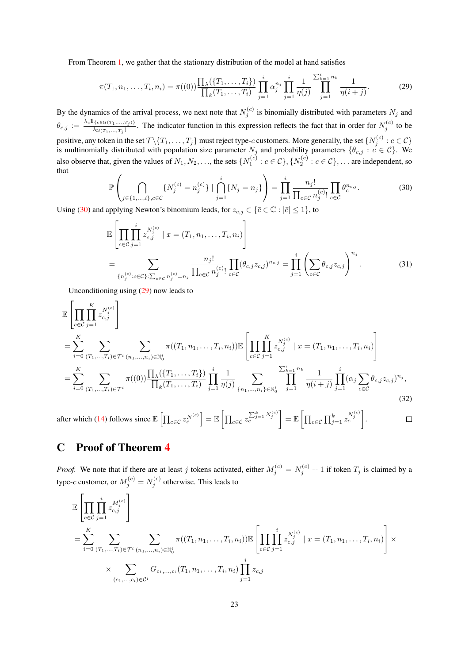From Theorem 1, we gather that the stationary distribution of the model at hand satisfies

$$
\pi(T_1, n_1, \dots, T_i, n_i) = \pi((0)) \frac{\prod_{\lambda} (\{T_1, \dots, T_i\})}{\prod_k (T_1, \dots, T_i)} \prod_{j=1}^i \alpha_j^{n_j} \prod_{j=1}^i \frac{1}{\eta(j)} \prod_{j=1}^{\sum_{k=1}^i n_k} \frac{1}{\eta(i+j)}.
$$
 (29)

By the dynamics of the arrival process, we next note that  $N_j^{(c)}$  is binomially distributed with parameters  $N_j$  and  $\theta_{c,j} := \frac{\lambda_c \mathbb{1}_{\{c \in \mathcal{U}(T_1,...,T_j)\}}}{\lambda_{\mathcal{U}(T_1,...,T_j)}}$ . The indicator function in this expression reflects the fact that in order for  $N_j^{(c)}$  to be positive, any token in the set  $\mathcal{T}\setminus\{T_1,\ldots,T_j\}$  must reject type-c customers. More generally, the set  $\{N_j^{(c)}:c\in\mathcal{C}\}$ is multinomially distributed with population size parameter  $N_j$  and probability parameters  $\{\theta_{c,j} : c \in C\}$ . We also observe that, given the values of  $N_1, N_2, \ldots$ , the sets  $\{N_1^{(c)}: c \in C\}$ ,  $\{N_2^{(c)}: c \in C\}$ ,  $\ldots$  are independent, so that

$$
\mathbb{P}\left(\bigcap_{j\in\{1,\dots,i\},c\in\mathcal{C}}\{N_j^{(c)}=n_j^{(c)}\}\mid\bigcap_{j=1}^i\{N_j=n_j\}\right)=\prod_{j=1}^i\frac{n_j!}{\prod_{c\in\mathcal{C}}n_j^{(c)}!}\prod_{c\in\mathcal{C}}\theta_c^{n_{c,j}}.\tag{30}
$$

Using (30) and applying Newton's binomium leads, for  $z_{c,j} \in {\bar{c} \in \mathbb{C} : |\bar{c}| \leq 1}$ , to

$$
\mathbb{E}\left[\prod_{c\in\mathcal{C}}\prod_{j=1}^{i} z_{c,j}^{N_j^{(c)}} \mid x = (T_1, n_1, \dots, T_i, n_i)\right]
$$
\n
$$
= \sum_{\{n_j^{(c)}: c\in\mathcal{C}\}:\sum_{c\in\mathcal{C}}n_j^{(c)} = n_j} \frac{n_j!}{\prod_{c\in\mathcal{C}}n_j^{(c)}!} \prod_{c\in\mathcal{C}} (\theta_{c,j}z_{c,j})^{n_{c,j}} = \prod_{j=1}^{i} \left(\sum_{c\in\mathcal{C}} \theta_{c,j}z_{c,j}\right)^{n_j}.
$$
\n(31)

Unconditioning using (29) now leads to

$$
\mathbb{E}\left[\prod_{c\in\mathcal{C}}\prod_{j=1}^{K} z_{c,j}^{N_j^{(c)}}\right]
$$
\n
$$
= \sum_{i=0}^{K} \sum_{(T_1,\ldots,T_i)\in\mathcal{T}^i} \sum_{(n_1,\ldots,n_i)\in\mathbb{N}_0^i} \pi((T_1,n_1,\ldots,T_i,n_i)) \mathbb{E}\left[\prod_{c\in\mathcal{C}}\prod_{j=1}^{K} z_{c,j}^{N_j^{(c)}} \mid x = (T_1,n_1,\ldots,T_i,n_i)\right]
$$
\n
$$
= \sum_{i=0}^{K} \sum_{(T_1,\ldots,T_i)\in\mathcal{T}^i} \pi((0)) \frac{\prod_{\lambda}(\{T_1,\ldots,T_i\})}{\prod_{k}(T_1,\ldots,T_i)} \prod_{j=1}^i \frac{1}{\eta(j)} \sum_{\{n_1,\ldots,n_i\}\in\mathbb{N}_0^i} \prod_{j=1}^{\sum_{k=1}^i n_k} \frac{1}{\eta(i+j)} \prod_{j=1}^i (\alpha_j \sum_{c\in\mathcal{C}} \theta_{c,j} z_{c,j})^{n_j},
$$
\n(32)

after which (14) follows since  $\mathbb{E}\left[\prod_{c\in\mathcal{C}}z_c^{N^{(c)}}\right] = \mathbb{E}\left[\prod_{c\in\mathcal{C}}\sum_{c}^{k}z_c^{N^{(c)}}\right] = \mathbb{E}\left[\prod_{c\in\mathcal{C}}\prod_{j=1}^{k}z_c^{N^{(c)}}\right].$  $\Box$ 

## C Proof of Theorem 4

*Proof.* We note that if there are at least j tokens activated, either  $M_j^{(c)} = N_j^{(c)} + 1$  if token  $T_j$  is claimed by a type-c customer, or  $M_j^{(c)} = N_j^{(c)}$  otherwise. This leads to

$$
\mathbb{E}\left[\prod_{c\in\mathcal{C}}\prod_{j=1}^{i} z_{c,j}^{M_j^{(c)}}\right]
$$
\n
$$
=\sum_{i=0}^{K} \sum_{(T_1,\ldots,T_i)\in\mathcal{T}^i} \sum_{(n_1,\ldots,n_i)\in\mathbb{N}_0^i} \pi((T_1,n_1,\ldots,T_i,n_i))\mathbb{E}\left[\prod_{c\in\mathcal{C}}\prod_{j=1}^{i} z_{c,j}^{N_j^{(c)}} \mid x=(T_1,n_1,\ldots,T_i,n_i)\right] \times \sum_{(c_1,\ldots,c_i)\in\mathcal{C}^i} G_{c_1,\ldots,c_i}(T_1,n_1,\ldots,T_i,n_i) \prod_{j=1}^{i} z_{c,j}
$$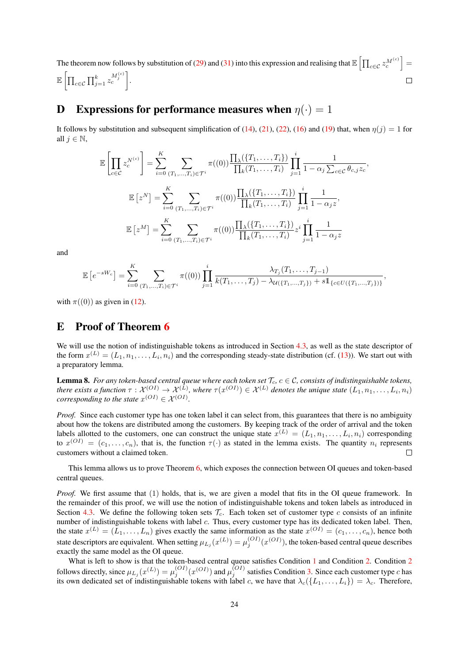The theorem now follows by substitution of (29) and (31) into this expression and realising that  $\mathbb{E}\left[\prod_{c\in\mathcal{C}}z_c^{M^{(c)}}\right]=$  $\mathbb{E} \, \Big[ \prod_{c \in \mathcal{C}} \prod_{j=1}^k z_c^{M_j^{(c)}} \Big].$  $\Box$ 

## **D** Expressions for performance measures when  $\eta(\cdot) = 1$

It follows by substitution and subsequent simplification of (14), (21), (22), (16) and (19) that, when  $\eta(j) = 1$  for all  $j \in \mathbb{N}$ ,

$$
\mathbb{E}\left[\prod_{c\in\mathcal{C}}z_c^{N^{(c)}}\right] = \sum_{i=0}^K \sum_{(T_1,...,T_i)\in\mathcal{T}^i} \pi((0))\frac{\prod_{\lambda}(\{T_1,...,T_i\})}{\prod_k(T_1,...,T_i)}\prod_{j=1}^i \frac{1}{1-\alpha_j\sum_{c\in\mathcal{C}}\theta_{c,j}z_c},
$$

$$
\mathbb{E}\left[z^N\right] = \sum_{i=0}^K \sum_{(T_1,...,T_i)\in\mathcal{T}^i} \pi((0))\frac{\prod_{\lambda}(\{T_1,...,T_i\})}{\prod_k(T_1,...,T_i)}\prod_{j=1}^i \frac{1}{1-\alpha_jz},
$$

$$
\mathbb{E}\left[z^M\right] = \sum_{i=0}^K \sum_{(T_1,...,T_i)\in\mathcal{T}^i} \pi((0))\frac{\prod_{\lambda}(\{T_1,...,T_i\})}{\prod_k(T_1,...,T_i)}z^i\prod_{j=1}^i \frac{1}{1-\alpha_jz}
$$

and

$$
\mathbb{E}\left[e^{-sW_c}\right] = \sum_{i=0}^K \sum_{(T_1,...,T_i)\in\mathcal{T}^i} \pi((0)) \prod_{j=1}^i \frac{\lambda_{T_j}(T_1,...,T_{j-1})}{k(T_1,...,T_j) - \lambda_{\mathcal{U}(\{T_1,...,T_j\})} + s\mathbb{1}_{\{c\in U(\{T_1,...,T_j\})\}}},
$$

with  $\pi((0))$  as given in (12).

## E Proof of Theorem 6

We will use the notion of indistinguishable tokens as introduced in Section 4.3, as well as the state descriptor of the form  $x^{(L)} = (L_1, n_1, \ldots, L_i, n_i)$  and the corresponding steady-state distribution (cf. (13)). We start out with a preparatory lemma.

**Lemma 8.** For any token-based central queue where each token set  $\mathcal{T}_c$ ,  $c \in \mathcal{C}$ , consists of indistinguishable tokens, *there exists a function*  $\tau: \mathcal{X}^{(OI)}\to \mathcal{X}^{(L)}$ , where  $\tau(x^{(OI)})\in \mathcal{X}^{(L)}$  denotes the unique state  $(L_1, n_1, \ldots, L_i, n_i)$ *corresponding to the state*  $x^{(OI)} \in \mathcal{X}^{(OI)}$ *.* 

*Proof.* Since each customer type has one token label it can select from, this guarantees that there is no ambiguity about how the tokens are distributed among the customers. By keeping track of the order of arrival and the token labels allotted to the customers, one can construct the unique state  $x^{(L)} = (L_1, n_1, \ldots, L_i, n_i)$  corresponding to  $x^{(OI)} = (c_1, \ldots, c_n)$ , that is, the function  $\tau(\cdot)$  as stated in the lemma exists. The quantity  $n_i$  represents customers without a claimed token.  $\Box$ 

This lemma allows us to prove Theorem 6, which exposes the connection between OI queues and token-based central queues.

*Proof.* We first assume that (1) holds, that is, we are given a model that fits in the OI queue framework. In the remainder of this proof, we will use the notion of indistinguishable tokens and token labels as introduced in Section 4.3. We define the following token sets  $\mathcal{T}_c$ . Each token set of customer type c consists of an infinite number of indistinguishable tokens with label c. Thus, every customer type has its dedicated token label. Then, the state  $x^{(L)} = (L_1, \ldots, L_n)$  gives exactly the same information as the state  $x^{(OI)} = (c_1, \ldots, c_n)$ , hence both state descriptors are equivalent. When setting  $\mu_{L_j}(x^{(L)}) = \mu_j^{(OI)}(x^{(OI)})$ , the token-based central queue describes exactly the same model as the OI queue.

What is left to show is that the token-based central queue satisfies Condition 1 and Condition 2. Condition 2 follows directly, since  $\mu_{L_j}(x^{(L)}) = \mu_j^{(OI)}(x^{(OI)})$  and  $\mu_j^{(OI)}$  satisfies Condition 3. Since each customer type c has its own dedicated set of indistinguishable tokens with label c, we have that  $\lambda_c(\{L_1, \ldots, L_i\}) = \lambda_c$ . Therefore,